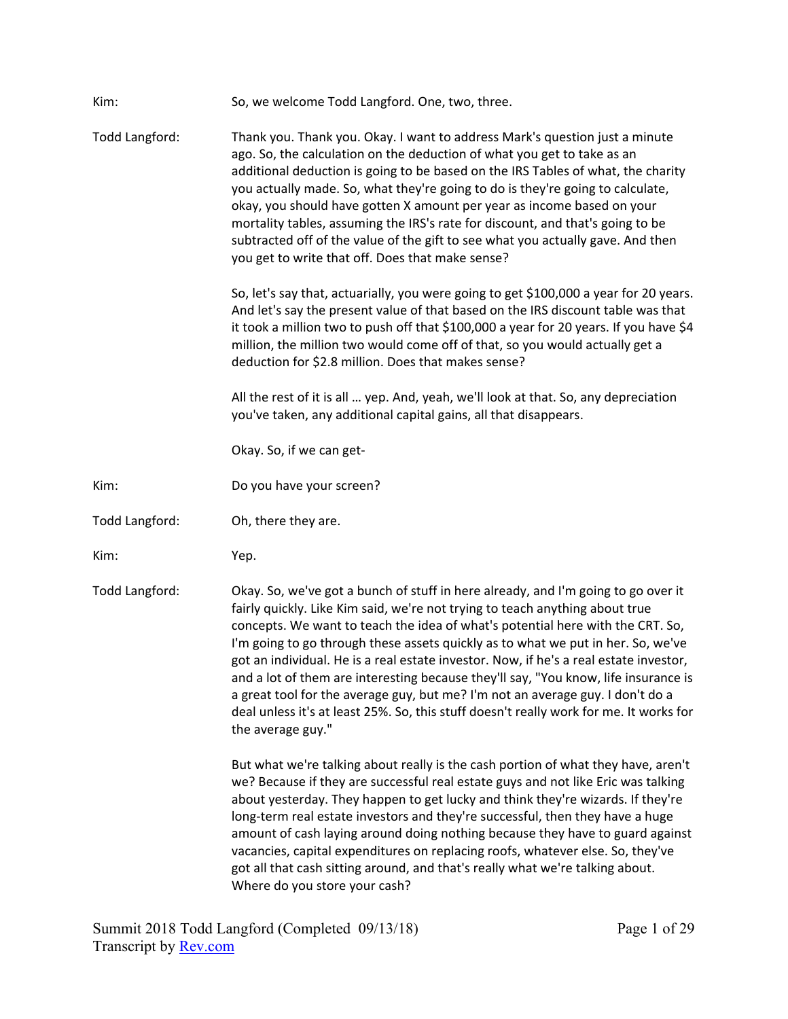| Kim:           | So, we welcome Todd Langford. One, two, three.                                                                                                                                                                                                                                                                                                                                                                                                                                                                                                                                                                                                                                                                           |
|----------------|--------------------------------------------------------------------------------------------------------------------------------------------------------------------------------------------------------------------------------------------------------------------------------------------------------------------------------------------------------------------------------------------------------------------------------------------------------------------------------------------------------------------------------------------------------------------------------------------------------------------------------------------------------------------------------------------------------------------------|
| Todd Langford: | Thank you. Thank you. Okay. I want to address Mark's question just a minute<br>ago. So, the calculation on the deduction of what you get to take as an<br>additional deduction is going to be based on the IRS Tables of what, the charity<br>you actually made. So, what they're going to do is they're going to calculate,<br>okay, you should have gotten X amount per year as income based on your<br>mortality tables, assuming the IRS's rate for discount, and that's going to be<br>subtracted off of the value of the gift to see what you actually gave. And then<br>you get to write that off. Does that make sense?                                                                                          |
|                | So, let's say that, actuarially, you were going to get \$100,000 a year for 20 years.<br>And let's say the present value of that based on the IRS discount table was that<br>it took a million two to push off that \$100,000 a year for 20 years. If you have \$4<br>million, the million two would come off of that, so you would actually get a<br>deduction for \$2.8 million. Does that makes sense?                                                                                                                                                                                                                                                                                                                |
|                | All the rest of it is all  yep. And, yeah, we'll look at that. So, any depreciation<br>you've taken, any additional capital gains, all that disappears.                                                                                                                                                                                                                                                                                                                                                                                                                                                                                                                                                                  |
|                | Okay. So, if we can get-                                                                                                                                                                                                                                                                                                                                                                                                                                                                                                                                                                                                                                                                                                 |
| Kim:           | Do you have your screen?                                                                                                                                                                                                                                                                                                                                                                                                                                                                                                                                                                                                                                                                                                 |
| Todd Langford: | Oh, there they are.                                                                                                                                                                                                                                                                                                                                                                                                                                                                                                                                                                                                                                                                                                      |
| Kim:           | Yep.                                                                                                                                                                                                                                                                                                                                                                                                                                                                                                                                                                                                                                                                                                                     |
| Todd Langford: | Okay. So, we've got a bunch of stuff in here already, and I'm going to go over it<br>fairly quickly. Like Kim said, we're not trying to teach anything about true<br>concepts. We want to teach the idea of what's potential here with the CRT. So,<br>I'm going to go through these assets quickly as to what we put in her. So, we've<br>got an individual. He is a real estate investor. Now, if he's a real estate investor,<br>and a lot of them are interesting because they'll say, "You know, life insurance is<br>a great tool for the average guy, but me? I'm not an average guy. I don't do a<br>deal unless it's at least 25%. So, this stuff doesn't really work for me. It works for<br>the average guy." |
|                | But what we're talking about really is the cash portion of what they have, aren't<br>we? Because if they are successful real estate guys and not like Eric was talking<br>about yesterday. They happen to get lucky and think they're wizards. If they're<br>long-term real estate investors and they're successful, then they have a huge<br>amount of cash laying around doing nothing because they have to guard against<br>vacancies, capital expenditures on replacing roofs, whatever else. So, they've<br>got all that cash sitting around, and that's really what we're talking about.<br>Where do you store your cash?                                                                                          |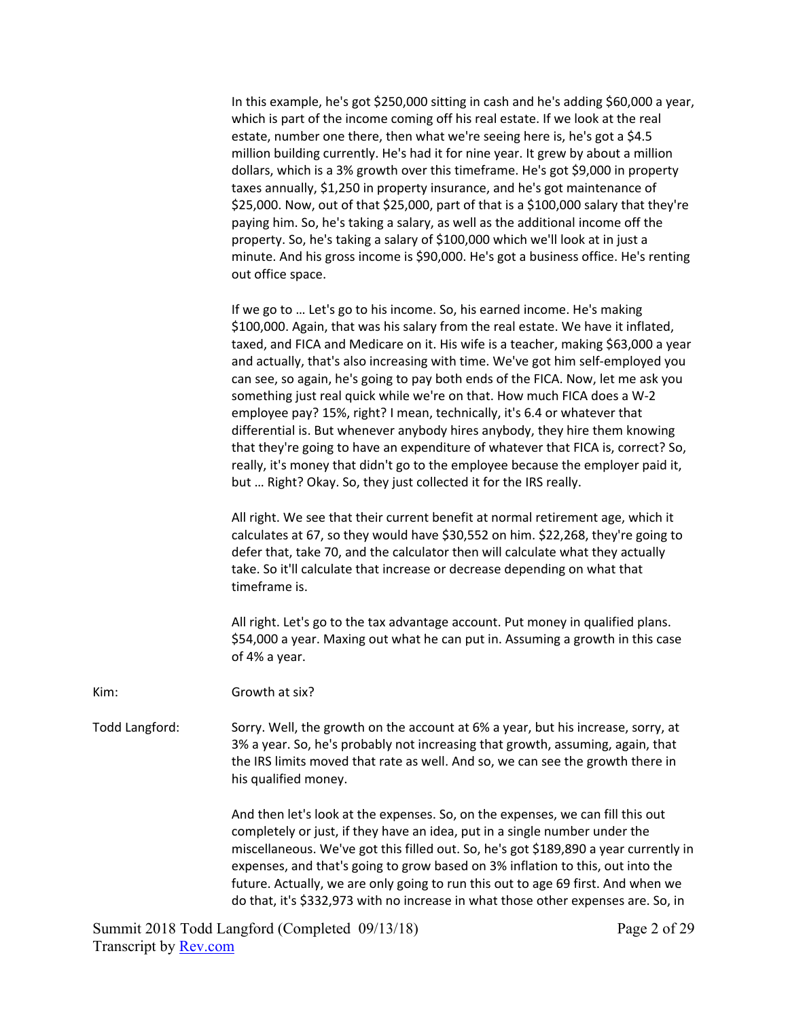In this example, he's got \$250,000 sitting in cash and he's adding \$60,000 a year, which is part of the income coming off his real estate. If we look at the real estate, number one there, then what we're seeing here is, he's got a \$4.5 million building currently. He's had it for nine year. It grew by about a million dollars, which is a 3% growth over this timeframe. He's got \$9,000 in property taxes annually, \$1,250 in property insurance, and he's got maintenance of \$25,000. Now, out of that \$25,000, part of that is a \$100,000 salary that they're paying him. So, he's taking a salary, as well as the additional income off the property. So, he's taking a salary of \$100,000 which we'll look at in just a minute. And his gross income is \$90,000. He's got a business office. He's renting out office space.

 If we go to … Let's go to his income. So, his earned income. He's making \$100,000. Again, that was his salary from the real estate. We have it inflated, taxed, and FICA and Medicare on it. His wife is a teacher, making \$63,000 a year and actually, that's also increasing with time. We've got him self-employed you can see, so again, he's going to pay both ends of the FICA. Now, let me ask you something just real quick while we're on that. How much FICA does a W‐2 employee pay? 15%, right? I mean, technically, it's 6.4 or whatever that differential is. But whenever anybody hires anybody, they hire them knowing that they're going to have an expenditure of whatever that FICA is, correct? So, really, it's money that didn't go to the employee because the employer paid it, but … Right? Okay. So, they just collected it for the IRS really.

 All right. We see that their current benefit at normal retirement age, which it calculates at 67, so they would have \$30,552 on him. \$22,268, they're going to defer that, take 70, and the calculator then will calculate what they actually take. So it'll calculate that increase or decrease depending on what that timeframe is.

 All right. Let's go to the tax advantage account. Put money in qualified plans. \$54,000 a year. Maxing out what he can put in. Assuming a growth in this case of 4% a year.

Kim: Growth at six?

Todd Langford: Sorry. Well, the growth on the account at 6% a year, but his increase, sorry, at 3% a year. So, he's probably not increasing that growth, assuming, again, that the IRS limits moved that rate as well. And so, we can see the growth there in his qualified money.

> And then let's look at the expenses. So, on the expenses, we can fill this out completely or just, if they have an idea, put in a single number under the miscellaneous. We've got this filled out. So, he's got \$189,890 a year currently in expenses, and that's going to grow based on 3% inflation to this, out into the future. Actually, we are only going to run this out to age 69 first. And when we do that, it's \$332,973 with no increase in what those other expenses are. So, in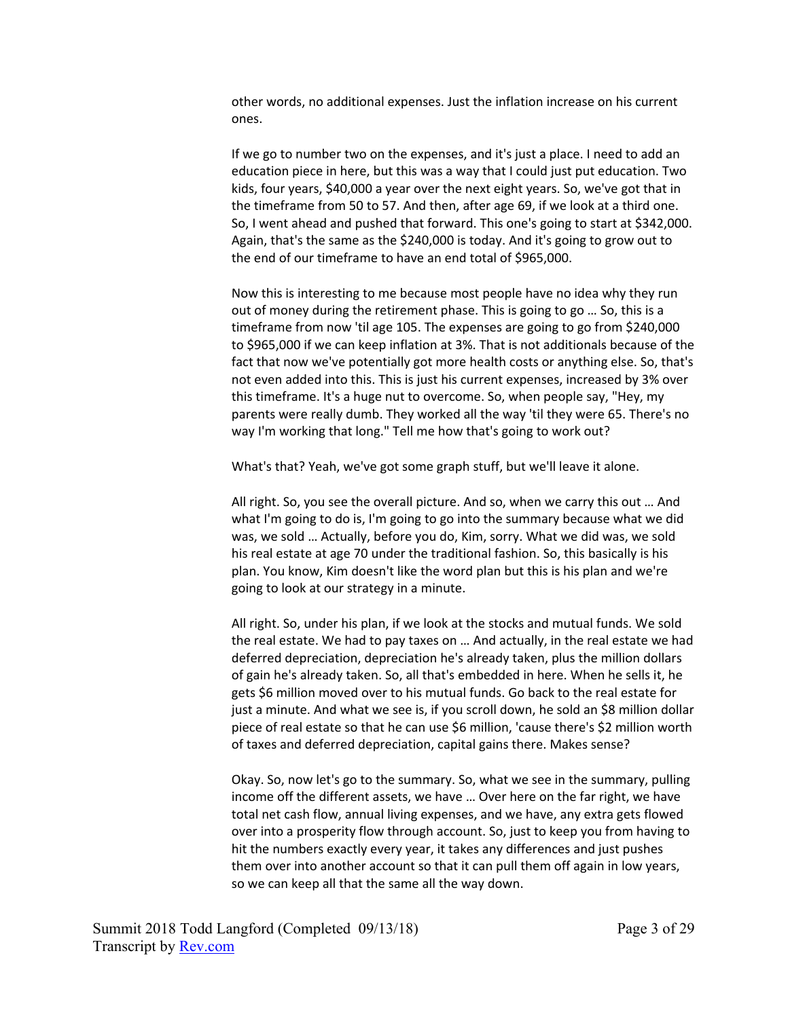other words, no additional expenses. Just the inflation increase on his current ones.

 If we go to number two on the expenses, and it's just a place. I need to add an education piece in here, but this was a way that I could just put education. Two kids, four years, \$40,000 a year over the next eight years. So, we've got that in the timeframe from 50 to 57. And then, after age 69, if we look at a third one. So, I went ahead and pushed that forward. This one's going to start at \$342,000. Again, that's the same as the \$240,000 is today. And it's going to grow out to the end of our timeframe to have an end total of \$965,000.

 Now this is interesting to me because most people have no idea why they run out of money during the retirement phase. This is going to go … So, this is a timeframe from now 'til age 105. The expenses are going to go from \$240,000 to \$965,000 if we can keep inflation at 3%. That is not additionals because of the fact that now we've potentially got more health costs or anything else. So, that's not even added into this. This is just his current expenses, increased by 3% over this timeframe. It's a huge nut to overcome. So, when people say, "Hey, my parents were really dumb. They worked all the way 'til they were 65. There's no way I'm working that long." Tell me how that's going to work out?

What's that? Yeah, we've got some graph stuff, but we'll leave it alone.

 All right. So, you see the overall picture. And so, when we carry this out … And what I'm going to do is, I'm going to go into the summary because what we did was, we sold … Actually, before you do, Kim, sorry. What we did was, we sold his real estate at age 70 under the traditional fashion. So, this basically is his plan. You know, Kim doesn't like the word plan but this is his plan and we're going to look at our strategy in a minute.

 All right. So, under his plan, if we look at the stocks and mutual funds. We sold the real estate. We had to pay taxes on … And actually, in the real estate we had deferred depreciation, depreciation he's already taken, plus the million dollars of gain he's already taken. So, all that's embedded in here. When he sells it, he gets \$6 million moved over to his mutual funds. Go back to the real estate for just a minute. And what we see is, if you scroll down, he sold an \$8 million dollar piece of real estate so that he can use \$6 million, 'cause there's \$2 million worth of taxes and deferred depreciation, capital gains there. Makes sense?

 Okay. So, now let's go to the summary. So, what we see in the summary, pulling income off the different assets, we have … Over here on the far right, we have total net cash flow, annual living expenses, and we have, any extra gets flowed over into a prosperity flow through account. So, just to keep you from having to hit the numbers exactly every year, it takes any differences and just pushes them over into another account so that it can pull them off again in low years, so we can keep all that the same all the way down.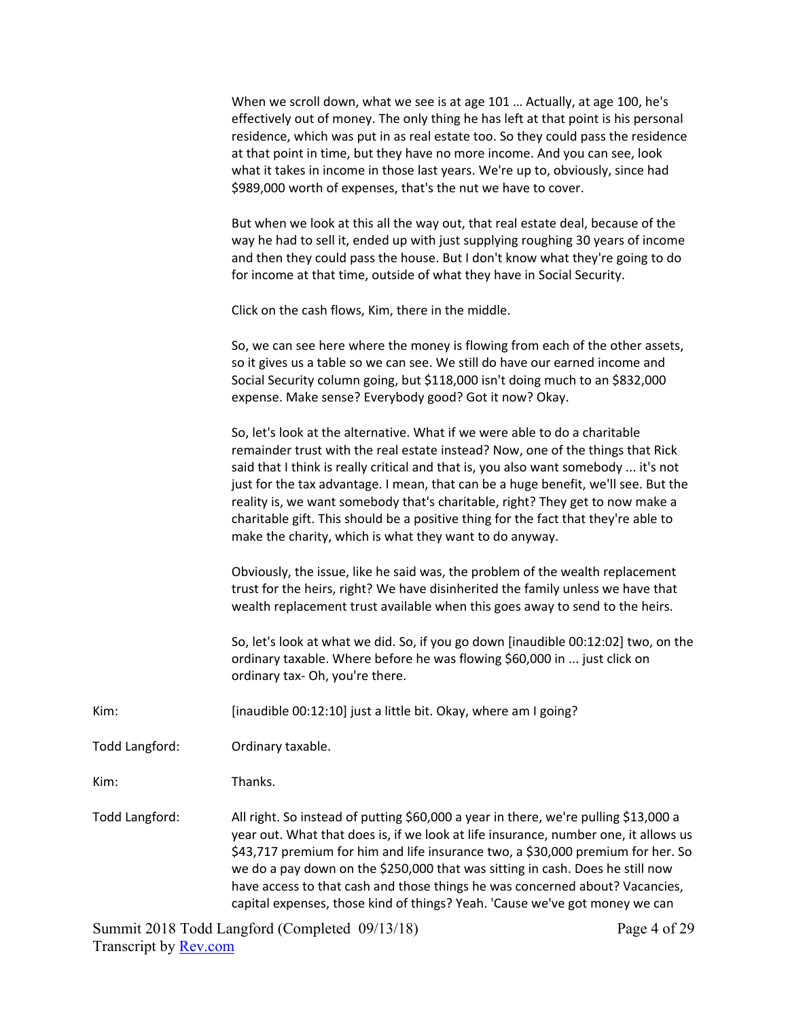|                | When we scroll down, what we see is at age 101  Actually, at age 100, he's<br>effectively out of money. The only thing he has left at that point is his personal<br>residence, which was put in as real estate too. So they could pass the residence<br>at that point in time, but they have no more income. And you can see, look<br>what it takes in income in those last years. We're up to, obviously, since had<br>\$989,000 worth of expenses, that's the nut we have to cover.                                                                                      |
|----------------|----------------------------------------------------------------------------------------------------------------------------------------------------------------------------------------------------------------------------------------------------------------------------------------------------------------------------------------------------------------------------------------------------------------------------------------------------------------------------------------------------------------------------------------------------------------------------|
|                | But when we look at this all the way out, that real estate deal, because of the<br>way he had to sell it, ended up with just supplying roughing 30 years of income<br>and then they could pass the house. But I don't know what they're going to do<br>for income at that time, outside of what they have in Social Security.                                                                                                                                                                                                                                              |
|                | Click on the cash flows, Kim, there in the middle.                                                                                                                                                                                                                                                                                                                                                                                                                                                                                                                         |
|                | So, we can see here where the money is flowing from each of the other assets,<br>so it gives us a table so we can see. We still do have our earned income and<br>Social Security column going, but \$118,000 isn't doing much to an \$832,000<br>expense. Make sense? Everybody good? Got it now? Okay.                                                                                                                                                                                                                                                                    |
|                | So, let's look at the alternative. What if we were able to do a charitable<br>remainder trust with the real estate instead? Now, one of the things that Rick<br>said that I think is really critical and that is, you also want somebody  it's not<br>just for the tax advantage. I mean, that can be a huge benefit, we'll see. But the<br>reality is, we want somebody that's charitable, right? They get to now make a<br>charitable gift. This should be a positive thing for the fact that they're able to<br>make the charity, which is what they want to do anyway. |
|                | Obviously, the issue, like he said was, the problem of the wealth replacement<br>trust for the heirs, right? We have disinherited the family unless we have that<br>wealth replacement trust available when this goes away to send to the heirs.                                                                                                                                                                                                                                                                                                                           |
|                | So, let's look at what we did. So, if you go down [inaudible 00:12:02] two, on the<br>ordinary taxable. Where before he was flowing \$60,000 in  just click on<br>ordinary tax- Oh, you're there.                                                                                                                                                                                                                                                                                                                                                                          |
| Kim:           | [inaudible 00:12:10] just a little bit. Okay, where am I going?                                                                                                                                                                                                                                                                                                                                                                                                                                                                                                            |
| Todd Langford: | Ordinary taxable.                                                                                                                                                                                                                                                                                                                                                                                                                                                                                                                                                          |
| Kim:           | Thanks.                                                                                                                                                                                                                                                                                                                                                                                                                                                                                                                                                                    |
| Todd Langford: | All right. So instead of putting \$60,000 a year in there, we're pulling \$13,000 a<br>year out. What that does is, if we look at life insurance, number one, it allows us<br>\$43,717 premium for him and life insurance two, a \$30,000 premium for her. So<br>we do a pay down on the \$250,000 that was sitting in cash. Does he still now<br>have access to that cash and those things he was concerned about? Vacancies,<br>capital expenses, those kind of things? Yeah. 'Cause we've got money we can                                                              |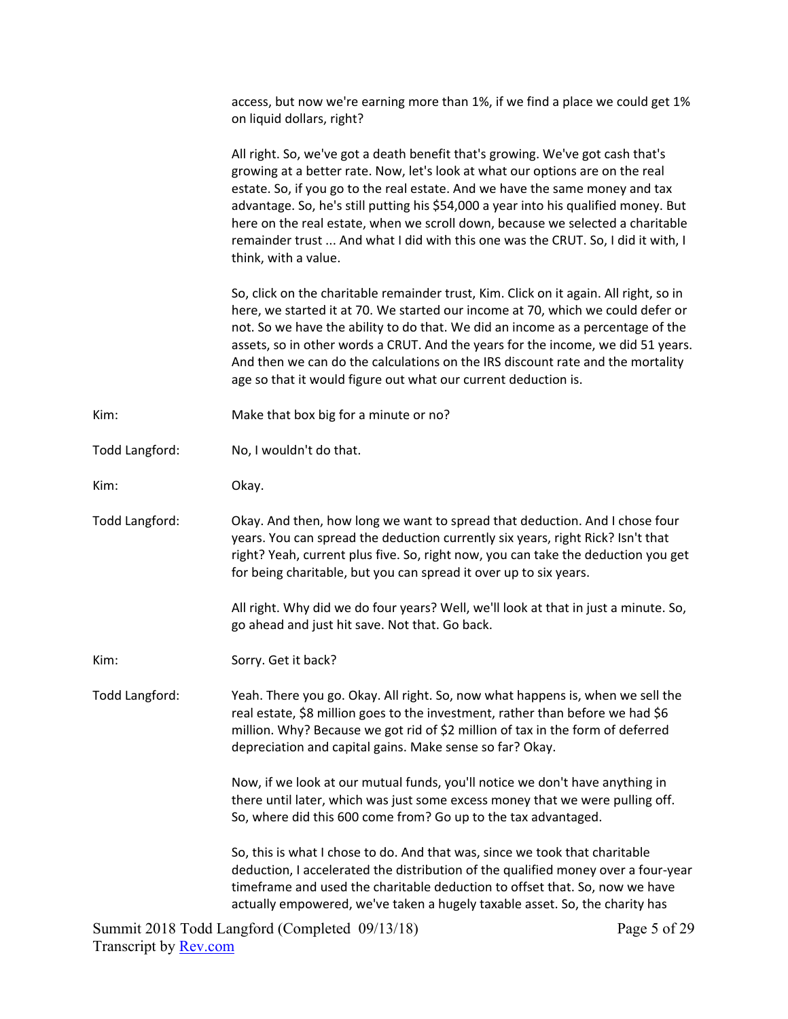|                | access, but now we're earning more than 1%, if we find a place we could get 1%<br>on liquid dollars, right?                                                                                                                                                                                                                                                                                                                                                                                                                          |
|----------------|--------------------------------------------------------------------------------------------------------------------------------------------------------------------------------------------------------------------------------------------------------------------------------------------------------------------------------------------------------------------------------------------------------------------------------------------------------------------------------------------------------------------------------------|
|                | All right. So, we've got a death benefit that's growing. We've got cash that's<br>growing at a better rate. Now, let's look at what our options are on the real<br>estate. So, if you go to the real estate. And we have the same money and tax<br>advantage. So, he's still putting his \$54,000 a year into his qualified money. But<br>here on the real estate, when we scroll down, because we selected a charitable<br>remainder trust  And what I did with this one was the CRUT. So, I did it with, I<br>think, with a value. |
|                | So, click on the charitable remainder trust, Kim. Click on it again. All right, so in<br>here, we started it at 70. We started our income at 70, which we could defer or<br>not. So we have the ability to do that. We did an income as a percentage of the<br>assets, so in other words a CRUT. And the years for the income, we did 51 years.<br>And then we can do the calculations on the IRS discount rate and the mortality<br>age so that it would figure out what our current deduction is.                                  |
| Kim:           | Make that box big for a minute or no?                                                                                                                                                                                                                                                                                                                                                                                                                                                                                                |
| Todd Langford: | No, I wouldn't do that.                                                                                                                                                                                                                                                                                                                                                                                                                                                                                                              |
| Kim:           | Okay.                                                                                                                                                                                                                                                                                                                                                                                                                                                                                                                                |
| Todd Langford: | Okay. And then, how long we want to spread that deduction. And I chose four<br>years. You can spread the deduction currently six years, right Rick? Isn't that<br>right? Yeah, current plus five. So, right now, you can take the deduction you get<br>for being charitable, but you can spread it over up to six years.                                                                                                                                                                                                             |
|                | All right. Why did we do four years? Well, we'll look at that in just a minute. So,<br>go ahead and just hit save. Not that. Go back.                                                                                                                                                                                                                                                                                                                                                                                                |
| Kim:           | Sorry. Get it back?                                                                                                                                                                                                                                                                                                                                                                                                                                                                                                                  |
| Todd Langford: | Yeah. There you go. Okay. All right. So, now what happens is, when we sell the<br>real estate, \$8 million goes to the investment, rather than before we had \$6<br>million. Why? Because we got rid of \$2 million of tax in the form of deferred<br>depreciation and capital gains. Make sense so far? Okay.                                                                                                                                                                                                                       |
|                | Now, if we look at our mutual funds, you'll notice we don't have anything in<br>there until later, which was just some excess money that we were pulling off.<br>So, where did this 600 come from? Go up to the tax advantaged.                                                                                                                                                                                                                                                                                                      |
|                | So, this is what I chose to do. And that was, since we took that charitable<br>deduction, I accelerated the distribution of the qualified money over a four-year<br>timeframe and used the charitable deduction to offset that. So, now we have<br>actually empowered, we've taken a hugely taxable asset. So, the charity has                                                                                                                                                                                                       |
|                |                                                                                                                                                                                                                                                                                                                                                                                                                                                                                                                                      |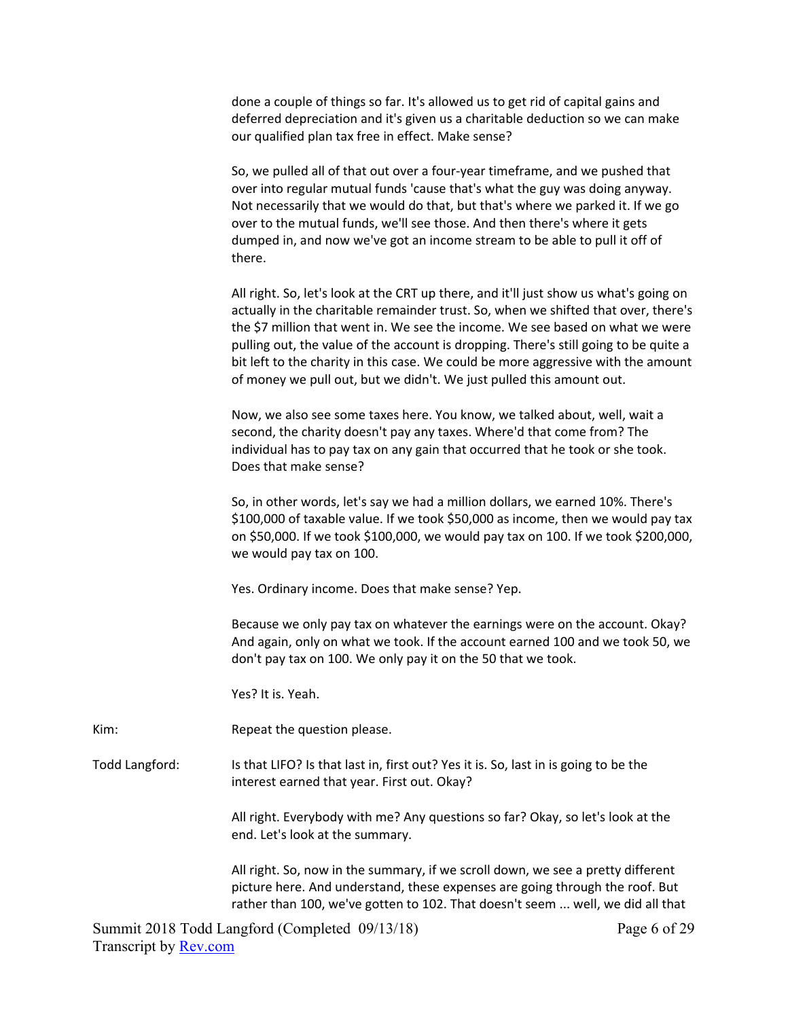done a couple of things so far. It's allowed us to get rid of capital gains and deferred depreciation and it's given us a charitable deduction so we can make our qualified plan tax free in effect. Make sense?

 So, we pulled all of that out over a four‐year timeframe, and we pushed that over into regular mutual funds 'cause that's what the guy was doing anyway. Not necessarily that we would do that, but that's where we parked it. If we go over to the mutual funds, we'll see those. And then there's where it gets dumped in, and now we've got an income stream to be able to pull it off of there.

 All right. So, let's look at the CRT up there, and it'll just show us what's going on actually in the charitable remainder trust. So, when we shifted that over, there's the \$7 million that went in. We see the income. We see based on what we were pulling out, the value of the account is dropping. There's still going to be quite a bit left to the charity in this case. We could be more aggressive with the amount of money we pull out, but we didn't. We just pulled this amount out.

 Now, we also see some taxes here. You know, we talked about, well, wait a second, the charity doesn't pay any taxes. Where'd that come from? The individual has to pay tax on any gain that occurred that he took or she took. Does that make sense?

 So, in other words, let's say we had a million dollars, we earned 10%. There's \$100,000 of taxable value. If we took \$50,000 as income, then we would pay tax on \$50,000. If we took \$100,000, we would pay tax on 100. If we took \$200,000, we would pay tax on 100.

Yes. Ordinary income. Does that make sense? Yep.

 Because we only pay tax on whatever the earnings were on the account. Okay? And again, only on what we took. If the account earned 100 and we took 50, we don't pay tax on 100. We only pay it on the 50 that we took.

Yes? It is. Yeah.

Kim: Repeat the question please.

Todd Langford: Is that LIFO? Is that last in, first out? Yes it is. So, last in is going to be the interest earned that year. First out. Okay?

> All right. Everybody with me? Any questions so far? Okay, so let's look at the end. Let's look at the summary.

 All right. So, now in the summary, if we scroll down, we see a pretty different picture here. And understand, these expenses are going through the roof. But rather than 100, we've gotten to 102. That doesn't seem ... well, we did all that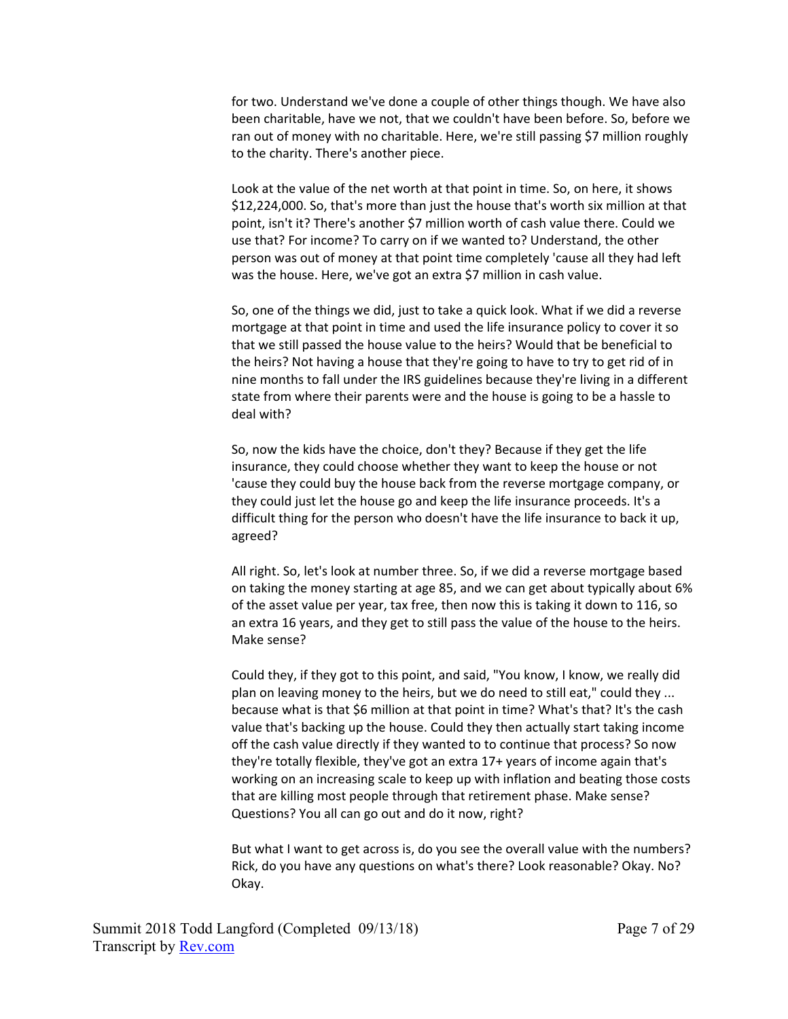for two. Understand we've done a couple of other things though. We have also been charitable, have we not, that we couldn't have been before. So, before we ran out of money with no charitable. Here, we're still passing \$7 million roughly to the charity. There's another piece.

 Look at the value of the net worth at that point in time. So, on here, it shows \$12,224,000. So, that's more than just the house that's worth six million at that point, isn't it? There's another \$7 million worth of cash value there. Could we use that? For income? To carry on if we wanted to? Understand, the other person was out of money at that point time completely 'cause all they had left was the house. Here, we've got an extra \$7 million in cash value.

 So, one of the things we did, just to take a quick look. What if we did a reverse mortgage at that point in time and used the life insurance policy to cover it so that we still passed the house value to the heirs? Would that be beneficial to the heirs? Not having a house that they're going to have to try to get rid of in nine months to fall under the IRS guidelines because they're living in a different state from where their parents were and the house is going to be a hassle to deal with?

 So, now the kids have the choice, don't they? Because if they get the life insurance, they could choose whether they want to keep the house or not 'cause they could buy the house back from the reverse mortgage company, or they could just let the house go and keep the life insurance proceeds. It's a difficult thing for the person who doesn't have the life insurance to back it up, agreed?

 All right. So, let's look at number three. So, if we did a reverse mortgage based on taking the money starting at age 85, and we can get about typically about 6% of the asset value per year, tax free, then now this is taking it down to 116, so an extra 16 years, and they get to still pass the value of the house to the heirs. Make sense?

 Could they, if they got to this point, and said, "You know, I know, we really did plan on leaving money to the heirs, but we do need to still eat," could they ... because what is that \$6 million at that point in time? What's that? It's the cash value that's backing up the house. Could they then actually start taking income off the cash value directly if they wanted to to continue that process? So now they're totally flexible, they've got an extra 17+ years of income again that's working on an increasing scale to keep up with inflation and beating those costs that are killing most people through that retirement phase. Make sense? Questions? You all can go out and do it now, right?

 But what I want to get across is, do you see the overall value with the numbers? Rick, do you have any questions on what's there? Look reasonable? Okay. No? Okay.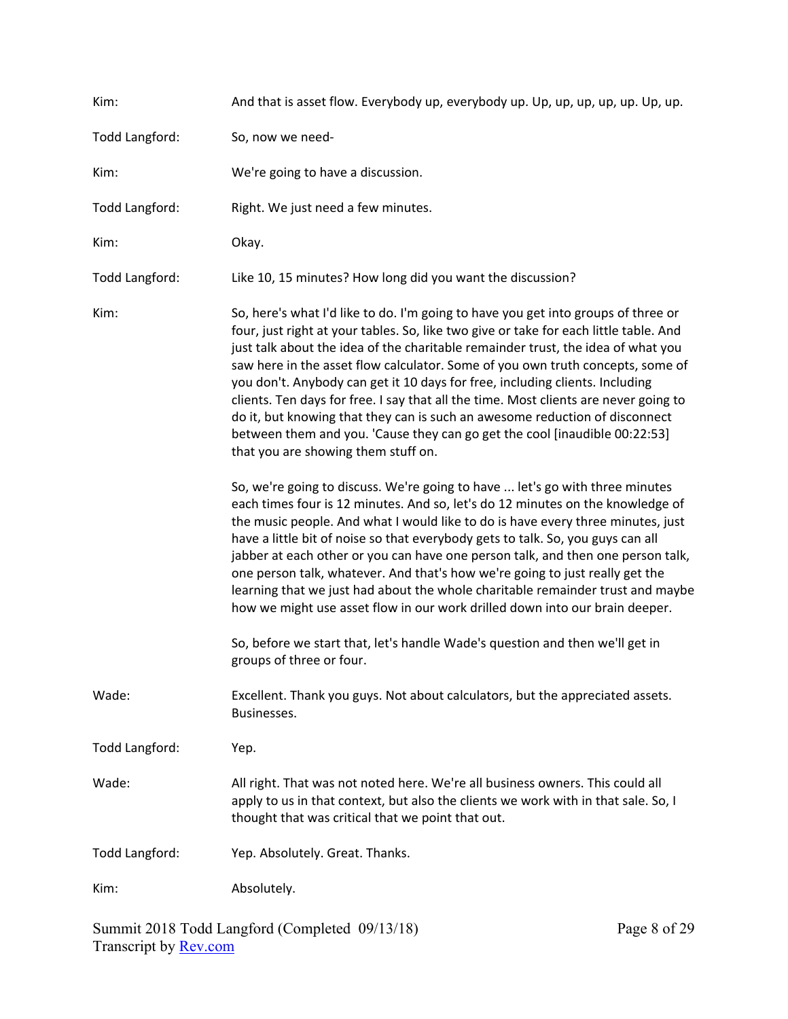| Kim:           | And that is asset flow. Everybody up, everybody up. Up, up, up, up, up. Up, up.                                                                                                                                                                                                                                                                                                                                                                                                                                                                                                                                                                                                                                              |
|----------------|------------------------------------------------------------------------------------------------------------------------------------------------------------------------------------------------------------------------------------------------------------------------------------------------------------------------------------------------------------------------------------------------------------------------------------------------------------------------------------------------------------------------------------------------------------------------------------------------------------------------------------------------------------------------------------------------------------------------------|
| Todd Langford: | So, now we need-                                                                                                                                                                                                                                                                                                                                                                                                                                                                                                                                                                                                                                                                                                             |
| Kim:           | We're going to have a discussion.                                                                                                                                                                                                                                                                                                                                                                                                                                                                                                                                                                                                                                                                                            |
| Todd Langford: | Right. We just need a few minutes.                                                                                                                                                                                                                                                                                                                                                                                                                                                                                                                                                                                                                                                                                           |
| Kim:           | Okay.                                                                                                                                                                                                                                                                                                                                                                                                                                                                                                                                                                                                                                                                                                                        |
| Todd Langford: | Like 10, 15 minutes? How long did you want the discussion?                                                                                                                                                                                                                                                                                                                                                                                                                                                                                                                                                                                                                                                                   |
| Kim:           | So, here's what I'd like to do. I'm going to have you get into groups of three or<br>four, just right at your tables. So, like two give or take for each little table. And<br>just talk about the idea of the charitable remainder trust, the idea of what you<br>saw here in the asset flow calculator. Some of you own truth concepts, some of<br>you don't. Anybody can get it 10 days for free, including clients. Including<br>clients. Ten days for free. I say that all the time. Most clients are never going to<br>do it, but knowing that they can is such an awesome reduction of disconnect<br>between them and you. 'Cause they can go get the cool [inaudible 00:22:53]<br>that you are showing them stuff on. |
|                | So, we're going to discuss. We're going to have  let's go with three minutes<br>each times four is 12 minutes. And so, let's do 12 minutes on the knowledge of<br>the music people. And what I would like to do is have every three minutes, just<br>have a little bit of noise so that everybody gets to talk. So, you guys can all<br>jabber at each other or you can have one person talk, and then one person talk,<br>one person talk, whatever. And that's how we're going to just really get the<br>learning that we just had about the whole charitable remainder trust and maybe<br>how we might use asset flow in our work drilled down into our brain deeper.                                                     |
|                | So, before we start that, let's handle Wade's question and then we'll get in<br>groups of three or four.                                                                                                                                                                                                                                                                                                                                                                                                                                                                                                                                                                                                                     |
| Wade:          | Excellent. Thank you guys. Not about calculators, but the appreciated assets.<br>Businesses.                                                                                                                                                                                                                                                                                                                                                                                                                                                                                                                                                                                                                                 |
| Todd Langford: | Yep.                                                                                                                                                                                                                                                                                                                                                                                                                                                                                                                                                                                                                                                                                                                         |
| Wade:          | All right. That was not noted here. We're all business owners. This could all<br>apply to us in that context, but also the clients we work with in that sale. So, I<br>thought that was critical that we point that out.                                                                                                                                                                                                                                                                                                                                                                                                                                                                                                     |
| Todd Langford: | Yep. Absolutely. Great. Thanks.                                                                                                                                                                                                                                                                                                                                                                                                                                                                                                                                                                                                                                                                                              |
| Kim:           | Absolutely.                                                                                                                                                                                                                                                                                                                                                                                                                                                                                                                                                                                                                                                                                                                  |

Summit 2018 Todd Langford (Completed 09/13/18) Transcript by **Rev.com**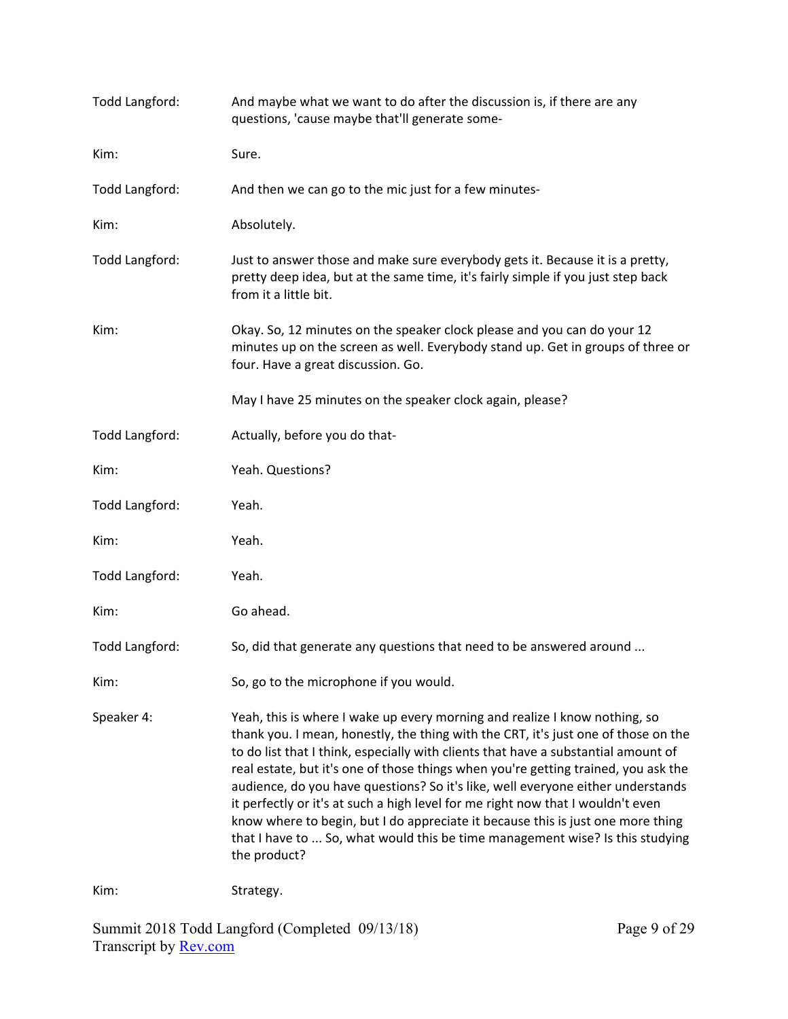| Todd Langford: | And maybe what we want to do after the discussion is, if there are any<br>questions, 'cause maybe that'll generate some-                                                                                                                                                                                                                                                                                                                                                                                                                                                                                                                                                                               |
|----------------|--------------------------------------------------------------------------------------------------------------------------------------------------------------------------------------------------------------------------------------------------------------------------------------------------------------------------------------------------------------------------------------------------------------------------------------------------------------------------------------------------------------------------------------------------------------------------------------------------------------------------------------------------------------------------------------------------------|
| Kim:           | Sure.                                                                                                                                                                                                                                                                                                                                                                                                                                                                                                                                                                                                                                                                                                  |
| Todd Langford: | And then we can go to the mic just for a few minutes-                                                                                                                                                                                                                                                                                                                                                                                                                                                                                                                                                                                                                                                  |
| Kim:           | Absolutely.                                                                                                                                                                                                                                                                                                                                                                                                                                                                                                                                                                                                                                                                                            |
| Todd Langford: | Just to answer those and make sure everybody gets it. Because it is a pretty,<br>pretty deep idea, but at the same time, it's fairly simple if you just step back<br>from it a little bit.                                                                                                                                                                                                                                                                                                                                                                                                                                                                                                             |
| Kim:           | Okay. So, 12 minutes on the speaker clock please and you can do your 12<br>minutes up on the screen as well. Everybody stand up. Get in groups of three or<br>four. Have a great discussion. Go.                                                                                                                                                                                                                                                                                                                                                                                                                                                                                                       |
|                | May I have 25 minutes on the speaker clock again, please?                                                                                                                                                                                                                                                                                                                                                                                                                                                                                                                                                                                                                                              |
| Todd Langford: | Actually, before you do that-                                                                                                                                                                                                                                                                                                                                                                                                                                                                                                                                                                                                                                                                          |
| Kim:           | Yeah. Questions?                                                                                                                                                                                                                                                                                                                                                                                                                                                                                                                                                                                                                                                                                       |
| Todd Langford: | Yeah.                                                                                                                                                                                                                                                                                                                                                                                                                                                                                                                                                                                                                                                                                                  |
| Kim:           | Yeah.                                                                                                                                                                                                                                                                                                                                                                                                                                                                                                                                                                                                                                                                                                  |
| Todd Langford: | Yeah.                                                                                                                                                                                                                                                                                                                                                                                                                                                                                                                                                                                                                                                                                                  |
| Kim:           | Go ahead.                                                                                                                                                                                                                                                                                                                                                                                                                                                                                                                                                                                                                                                                                              |
| Todd Langford: | So, did that generate any questions that need to be answered around                                                                                                                                                                                                                                                                                                                                                                                                                                                                                                                                                                                                                                    |
| Kim:           | So, go to the microphone if you would.                                                                                                                                                                                                                                                                                                                                                                                                                                                                                                                                                                                                                                                                 |
| Speaker 4:     | Yeah, this is where I wake up every morning and realize I know nothing, so<br>thank you. I mean, honestly, the thing with the CRT, it's just one of those on the<br>to do list that I think, especially with clients that have a substantial amount of<br>real estate, but it's one of those things when you're getting trained, you ask the<br>audience, do you have questions? So it's like, well everyone either understands<br>it perfectly or it's at such a high level for me right now that I wouldn't even<br>know where to begin, but I do appreciate it because this is just one more thing<br>that I have to  So, what would this be time management wise? Is this studying<br>the product? |
| Kim:           | Strategy.                                                                                                                                                                                                                                                                                                                                                                                                                                                                                                                                                                                                                                                                                              |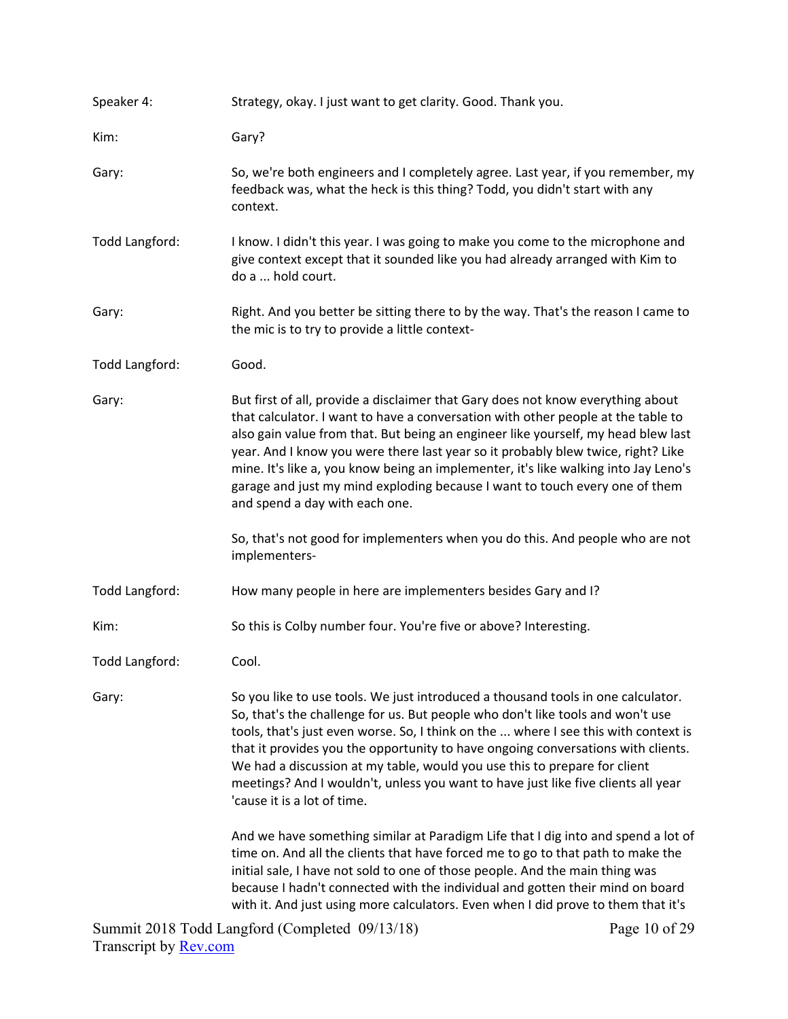| Speaker 4:     | Strategy, okay. I just want to get clarity. Good. Thank you.                                                                                                                                                                                                                                                                                                                                                                                                                                                                                         |  |  |
|----------------|------------------------------------------------------------------------------------------------------------------------------------------------------------------------------------------------------------------------------------------------------------------------------------------------------------------------------------------------------------------------------------------------------------------------------------------------------------------------------------------------------------------------------------------------------|--|--|
| Kim:           | Gary?                                                                                                                                                                                                                                                                                                                                                                                                                                                                                                                                                |  |  |
| Gary:          | So, we're both engineers and I completely agree. Last year, if you remember, my<br>feedback was, what the heck is this thing? Todd, you didn't start with any<br>context.                                                                                                                                                                                                                                                                                                                                                                            |  |  |
| Todd Langford: | I know. I didn't this year. I was going to make you come to the microphone and<br>give context except that it sounded like you had already arranged with Kim to<br>do a  hold court.                                                                                                                                                                                                                                                                                                                                                                 |  |  |
| Gary:          | Right. And you better be sitting there to by the way. That's the reason I came to<br>the mic is to try to provide a little context-                                                                                                                                                                                                                                                                                                                                                                                                                  |  |  |
| Todd Langford: | Good.                                                                                                                                                                                                                                                                                                                                                                                                                                                                                                                                                |  |  |
| Gary:          | But first of all, provide a disclaimer that Gary does not know everything about<br>that calculator. I want to have a conversation with other people at the table to<br>also gain value from that. But being an engineer like yourself, my head blew last<br>year. And I know you were there last year so it probably blew twice, right? Like<br>mine. It's like a, you know being an implementer, it's like walking into Jay Leno's<br>garage and just my mind exploding because I want to touch every one of them<br>and spend a day with each one. |  |  |
|                | So, that's not good for implementers when you do this. And people who are not<br>implementers-                                                                                                                                                                                                                                                                                                                                                                                                                                                       |  |  |
| Todd Langford: | How many people in here are implementers besides Gary and I?                                                                                                                                                                                                                                                                                                                                                                                                                                                                                         |  |  |
| Kim:           | So this is Colby number four. You're five or above? Interesting.                                                                                                                                                                                                                                                                                                                                                                                                                                                                                     |  |  |
| Todd Langford: | Cool.                                                                                                                                                                                                                                                                                                                                                                                                                                                                                                                                                |  |  |
| Gary:          | So you like to use tools. We just introduced a thousand tools in one calculator.<br>So, that's the challenge for us. But people who don't like tools and won't use<br>tools, that's just even worse. So, I think on the  where I see this with context is<br>that it provides you the opportunity to have ongoing conversations with clients.<br>We had a discussion at my table, would you use this to prepare for client<br>meetings? And I wouldn't, unless you want to have just like five clients all year<br>'cause it is a lot of time.       |  |  |
|                | And we have something similar at Paradigm Life that I dig into and spend a lot of<br>time on. And all the clients that have forced me to go to that path to make the<br>initial sale, I have not sold to one of those people. And the main thing was<br>because I hadn't connected with the individual and gotten their mind on board<br>with it. And just using more calculators. Even when I did prove to them that it's                                                                                                                           |  |  |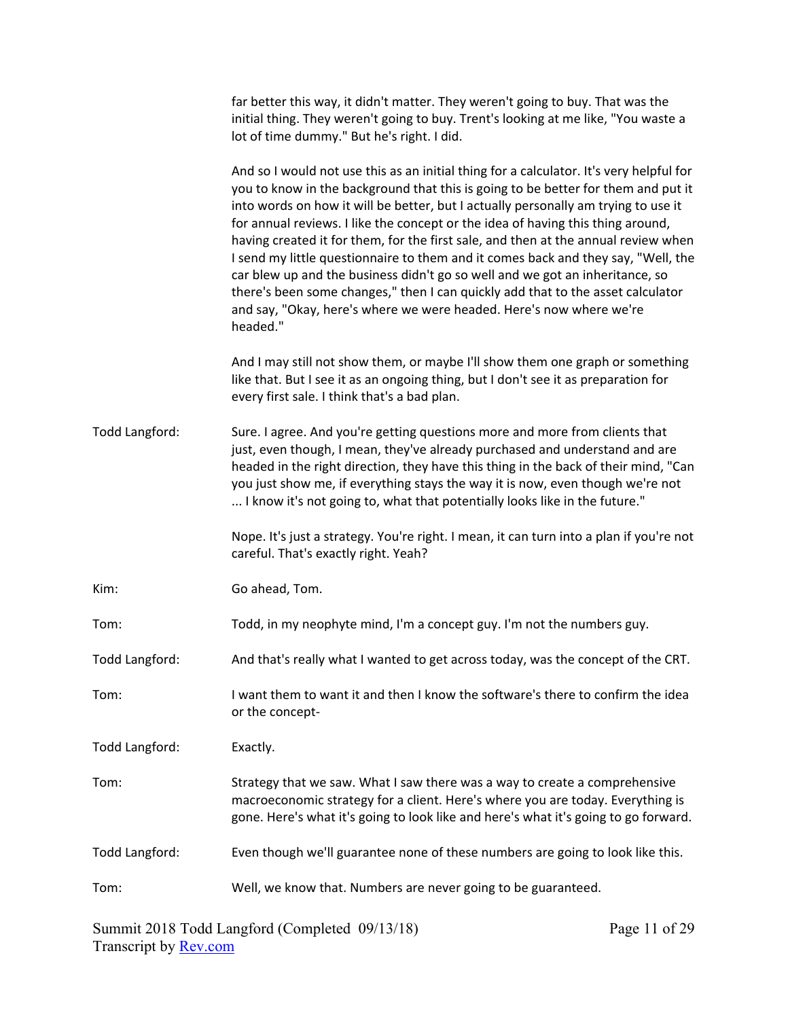| far better this way, it didn't matter. They weren't going to buy. That was the<br>initial thing. They weren't going to buy. Trent's looking at me like, "You waste a<br>lot of time dummy." But he's right. I did.                                                                                                                                                                                                                                                                                                                                                                                                                                                                                                                                                                     |
|----------------------------------------------------------------------------------------------------------------------------------------------------------------------------------------------------------------------------------------------------------------------------------------------------------------------------------------------------------------------------------------------------------------------------------------------------------------------------------------------------------------------------------------------------------------------------------------------------------------------------------------------------------------------------------------------------------------------------------------------------------------------------------------|
| And so I would not use this as an initial thing for a calculator. It's very helpful for<br>you to know in the background that this is going to be better for them and put it<br>into words on how it will be better, but I actually personally am trying to use it<br>for annual reviews. I like the concept or the idea of having this thing around,<br>having created it for them, for the first sale, and then at the annual review when<br>I send my little questionnaire to them and it comes back and they say, "Well, the<br>car blew up and the business didn't go so well and we got an inheritance, so<br>there's been some changes," then I can quickly add that to the asset calculator<br>and say, "Okay, here's where we were headed. Here's now where we're<br>headed." |
| And I may still not show them, or maybe I'll show them one graph or something<br>like that. But I see it as an ongoing thing, but I don't see it as preparation for<br>every first sale. I think that's a bad plan.                                                                                                                                                                                                                                                                                                                                                                                                                                                                                                                                                                    |
| Sure. I agree. And you're getting questions more and more from clients that<br>just, even though, I mean, they've already purchased and understand and are<br>headed in the right direction, they have this thing in the back of their mind, "Can<br>you just show me, if everything stays the way it is now, even though we're not<br>I know it's not going to, what that potentially looks like in the future."                                                                                                                                                                                                                                                                                                                                                                      |
| Nope. It's just a strategy. You're right. I mean, it can turn into a plan if you're not<br>careful. That's exactly right. Yeah?                                                                                                                                                                                                                                                                                                                                                                                                                                                                                                                                                                                                                                                        |
| Go ahead, Tom.                                                                                                                                                                                                                                                                                                                                                                                                                                                                                                                                                                                                                                                                                                                                                                         |
| Todd, in my neophyte mind, I'm a concept guy. I'm not the numbers guy.                                                                                                                                                                                                                                                                                                                                                                                                                                                                                                                                                                                                                                                                                                                 |
| And that's really what I wanted to get across today, was the concept of the CRT.                                                                                                                                                                                                                                                                                                                                                                                                                                                                                                                                                                                                                                                                                                       |
| I want them to want it and then I know the software's there to confirm the idea<br>or the concept-                                                                                                                                                                                                                                                                                                                                                                                                                                                                                                                                                                                                                                                                                     |
| Exactly.                                                                                                                                                                                                                                                                                                                                                                                                                                                                                                                                                                                                                                                                                                                                                                               |
| Strategy that we saw. What I saw there was a way to create a comprehensive<br>macroeconomic strategy for a client. Here's where you are today. Everything is<br>gone. Here's what it's going to look like and here's what it's going to go forward.                                                                                                                                                                                                                                                                                                                                                                                                                                                                                                                                    |
| Even though we'll guarantee none of these numbers are going to look like this.                                                                                                                                                                                                                                                                                                                                                                                                                                                                                                                                                                                                                                                                                                         |
| Well, we know that. Numbers are never going to be guaranteed.                                                                                                                                                                                                                                                                                                                                                                                                                                                                                                                                                                                                                                                                                                                          |
|                                                                                                                                                                                                                                                                                                                                                                                                                                                                                                                                                                                                                                                                                                                                                                                        |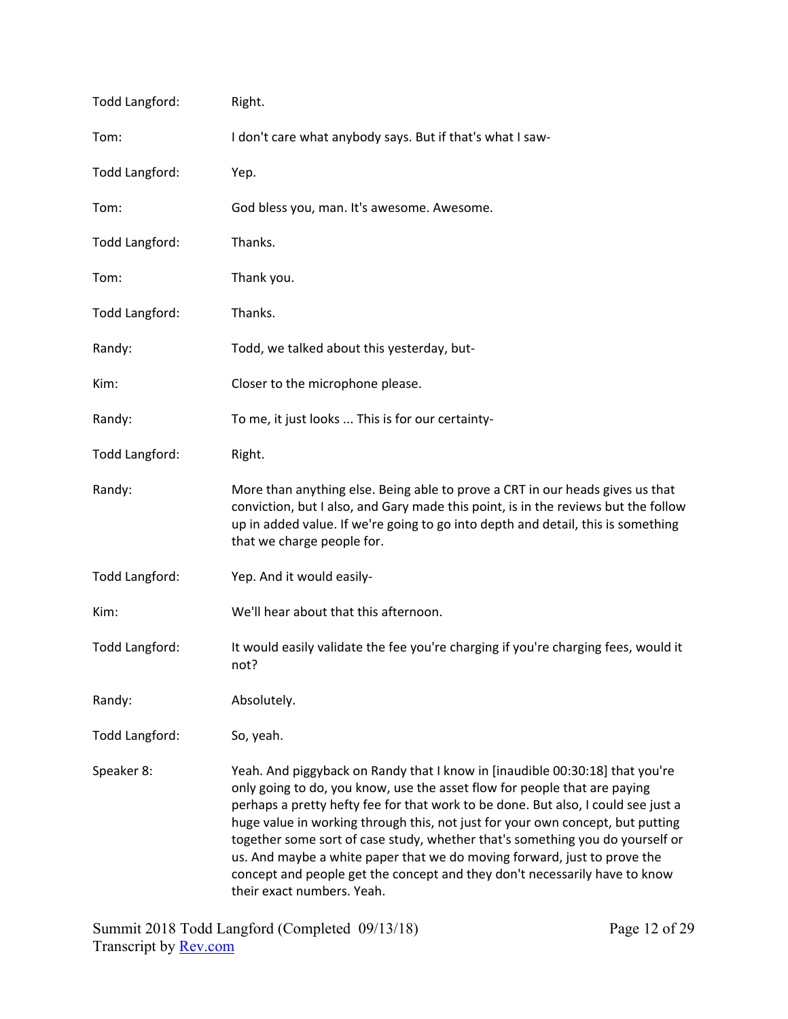| Todd Langford: | Right.                                                                                                                                                                                                                                                                                                                                                                                                                                                                                                                                                                                                    |  |  |
|----------------|-----------------------------------------------------------------------------------------------------------------------------------------------------------------------------------------------------------------------------------------------------------------------------------------------------------------------------------------------------------------------------------------------------------------------------------------------------------------------------------------------------------------------------------------------------------------------------------------------------------|--|--|
| Tom:           | I don't care what anybody says. But if that's what I saw-                                                                                                                                                                                                                                                                                                                                                                                                                                                                                                                                                 |  |  |
| Todd Langford: | Yep.                                                                                                                                                                                                                                                                                                                                                                                                                                                                                                                                                                                                      |  |  |
| Tom:           | God bless you, man. It's awesome. Awesome.                                                                                                                                                                                                                                                                                                                                                                                                                                                                                                                                                                |  |  |
| Todd Langford: | Thanks.                                                                                                                                                                                                                                                                                                                                                                                                                                                                                                                                                                                                   |  |  |
| Tom:           | Thank you.                                                                                                                                                                                                                                                                                                                                                                                                                                                                                                                                                                                                |  |  |
| Todd Langford: | Thanks.                                                                                                                                                                                                                                                                                                                                                                                                                                                                                                                                                                                                   |  |  |
| Randy:         | Todd, we talked about this yesterday, but-                                                                                                                                                                                                                                                                                                                                                                                                                                                                                                                                                                |  |  |
| Kim:           | Closer to the microphone please.                                                                                                                                                                                                                                                                                                                                                                                                                                                                                                                                                                          |  |  |
| Randy:         | To me, it just looks  This is for our certainty-                                                                                                                                                                                                                                                                                                                                                                                                                                                                                                                                                          |  |  |
| Todd Langford: | Right.                                                                                                                                                                                                                                                                                                                                                                                                                                                                                                                                                                                                    |  |  |
| Randy:         | More than anything else. Being able to prove a CRT in our heads gives us that<br>conviction, but I also, and Gary made this point, is in the reviews but the follow<br>up in added value. If we're going to go into depth and detail, this is something<br>that we charge people for.                                                                                                                                                                                                                                                                                                                     |  |  |
| Todd Langford: | Yep. And it would easily-                                                                                                                                                                                                                                                                                                                                                                                                                                                                                                                                                                                 |  |  |
| Kim:           | We'll hear about that this afternoon.                                                                                                                                                                                                                                                                                                                                                                                                                                                                                                                                                                     |  |  |
| Todd Langford: | It would easily validate the fee you're charging if you're charging fees, would it<br>not?                                                                                                                                                                                                                                                                                                                                                                                                                                                                                                                |  |  |
| Randy:         | Absolutely.                                                                                                                                                                                                                                                                                                                                                                                                                                                                                                                                                                                               |  |  |
| Todd Langford: | So, yeah.                                                                                                                                                                                                                                                                                                                                                                                                                                                                                                                                                                                                 |  |  |
| Speaker 8:     | Yeah. And piggyback on Randy that I know in [inaudible 00:30:18] that you're<br>only going to do, you know, use the asset flow for people that are paying<br>perhaps a pretty hefty fee for that work to be done. But also, I could see just a<br>huge value in working through this, not just for your own concept, but putting<br>together some sort of case study, whether that's something you do yourself or<br>us. And maybe a white paper that we do moving forward, just to prove the<br>concept and people get the concept and they don't necessarily have to know<br>their exact numbers. Yeah. |  |  |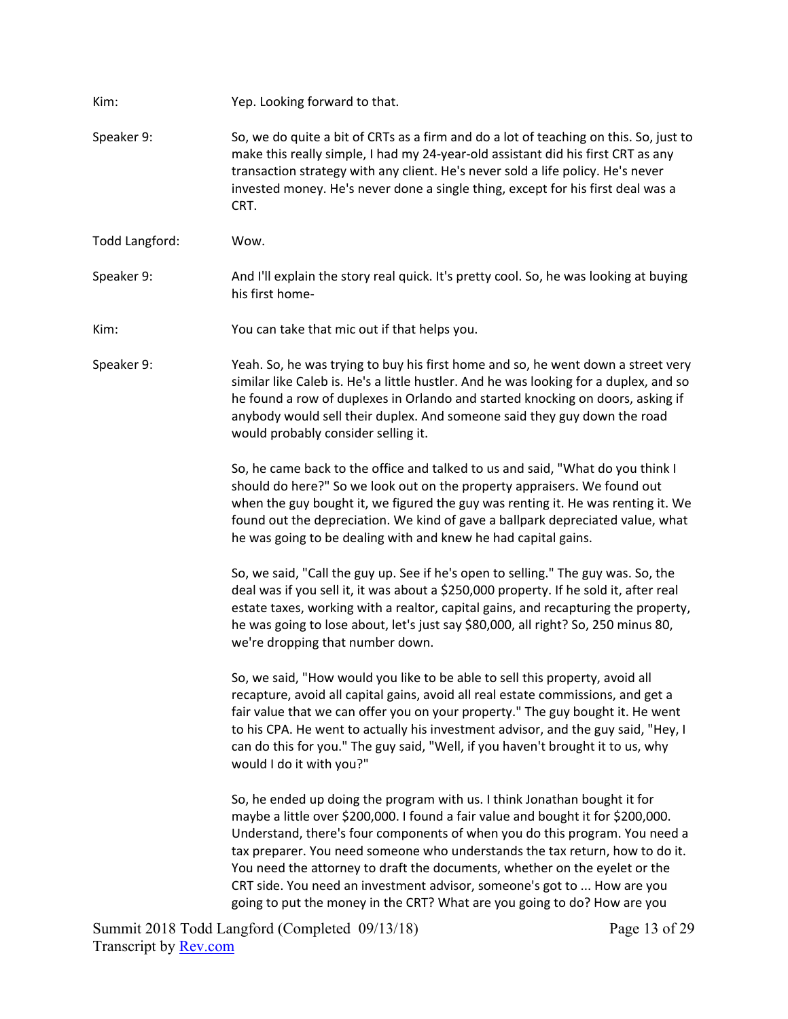Kim: *Yep. Looking forward to that.* Speaker 9: So, we do quite a bit of CRTs as a firm and do a lot of teaching on this. So, just to make this really simple, I had my 24‐year‐old assistant did his first CRT as any transaction strategy with any client. He's never sold a life policy. He's never invested money. He's never done a single thing, except for his first deal was a CRT. Todd Langford: Wow. Speaker 9: Mand I'll explain the story real quick. It's pretty cool. So, he was looking at buying his first home‐ Kim: You can take that mic out if that helps you. Speaker 9: Yeah. So, he was trying to buy his first home and so, he went down a street very similar like Caleb is. He's a little hustler. And he was looking for a duplex, and so he found a row of duplexes in Orlando and started knocking on doors, asking if anybody would sell their duplex. And someone said they guy down the road would probably consider selling it. So, he came back to the office and talked to us and said, "What do you think I should do here?" So we look out on the property appraisers. We found out when the guy bought it, we figured the guy was renting it. He was renting it. We found out the depreciation. We kind of gave a ballpark depreciated value, what he was going to be dealing with and knew he had capital gains. So, we said, "Call the guy up. See if he's open to selling." The guy was. So, the deal was if you sell it, it was about a \$250,000 property. If he sold it, after real estate taxes, working with a realtor, capital gains, and recapturing the property, he was going to lose about, let's just say \$80,000, all right? So, 250 minus 80, we're dropping that number down. So, we said, "How would you like to be able to sell this property, avoid all recapture, avoid all capital gains, avoid all real estate commissions, and get a fair value that we can offer you on your property." The guy bought it. He went to his CPA. He went to actually his investment advisor, and the guy said, "Hey, I can do this for you." The guy said, "Well, if you haven't brought it to us, why would I do it with you?" So, he ended up doing the program with us. I think Jonathan bought it for maybe a little over \$200,000. I found a fair value and bought it for \$200,000. Understand, there's four components of when you do this program. You need a tax preparer. You need someone who understands the tax return, how to do it. You need the attorney to draft the documents, whether on the eyelet or the CRT side. You need an investment advisor, someone's got to ... How are you going to put the money in the CRT? What are you going to do? How are you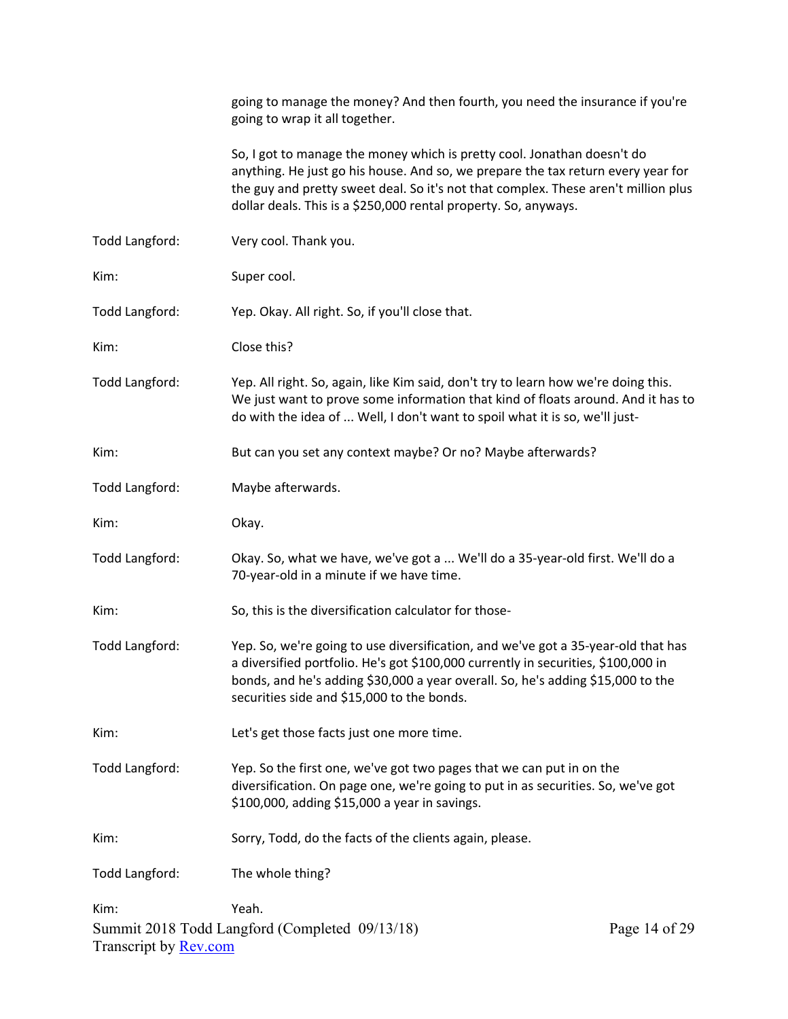|                                      | going to manage the money? And then fourth, you need the insurance if you're<br>going to wrap it all together.                                                                                                                                                                                                       |               |
|--------------------------------------|----------------------------------------------------------------------------------------------------------------------------------------------------------------------------------------------------------------------------------------------------------------------------------------------------------------------|---------------|
|                                      | So, I got to manage the money which is pretty cool. Jonathan doesn't do<br>anything. He just go his house. And so, we prepare the tax return every year for<br>the guy and pretty sweet deal. So it's not that complex. These aren't million plus<br>dollar deals. This is a \$250,000 rental property. So, anyways. |               |
| Todd Langford:                       | Very cool. Thank you.                                                                                                                                                                                                                                                                                                |               |
| Kim:                                 | Super cool.                                                                                                                                                                                                                                                                                                          |               |
| Todd Langford:                       | Yep. Okay. All right. So, if you'll close that.                                                                                                                                                                                                                                                                      |               |
| Kim:                                 | Close this?                                                                                                                                                                                                                                                                                                          |               |
| Todd Langford:                       | Yep. All right. So, again, like Kim said, don't try to learn how we're doing this.<br>We just want to prove some information that kind of floats around. And it has to<br>do with the idea of  Well, I don't want to spoil what it is so, we'll just-                                                                |               |
| Kim:                                 | But can you set any context maybe? Or no? Maybe afterwards?                                                                                                                                                                                                                                                          |               |
| Todd Langford:                       | Maybe afterwards.                                                                                                                                                                                                                                                                                                    |               |
| Kim:                                 | Okay.                                                                                                                                                                                                                                                                                                                |               |
| Todd Langford:                       | Okay. So, what we have, we've got a  We'll do a 35-year-old first. We'll do a<br>70-year-old in a minute if we have time.                                                                                                                                                                                            |               |
| Kim:                                 | So, this is the diversification calculator for those-                                                                                                                                                                                                                                                                |               |
| Todd Langford:                       | Yep. So, we're going to use diversification, and we've got a 35-year-old that has<br>a diversified portfolio. He's got \$100,000 currently in securities, \$100,000 in<br>bonds, and he's adding \$30,000 a year overall. So, he's adding \$15,000 to the<br>securities side and \$15,000 to the bonds.              |               |
| Kim:                                 | Let's get those facts just one more time.                                                                                                                                                                                                                                                                            |               |
| Todd Langford:                       | Yep. So the first one, we've got two pages that we can put in on the<br>diversification. On page one, we're going to put in as securities. So, we've got<br>\$100,000, adding \$15,000 a year in savings.                                                                                                            |               |
| Kim:                                 | Sorry, Todd, do the facts of the clients again, please.                                                                                                                                                                                                                                                              |               |
| Todd Langford:                       | The whole thing?                                                                                                                                                                                                                                                                                                     |               |
| Kim:<br>Transcript by <b>Rev.com</b> | Yeah.<br>Summit 2018 Todd Langford (Completed 09/13/18)                                                                                                                                                                                                                                                              | Page 14 of 29 |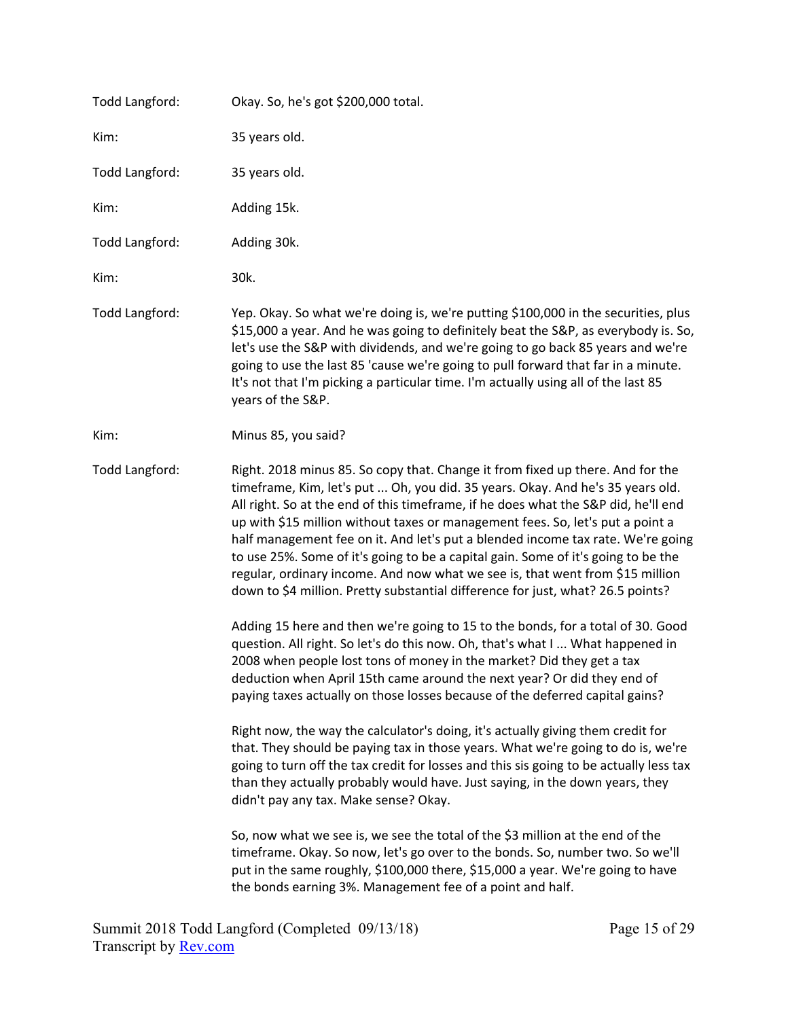| Todd Langford: | Okay. So, he's got \$200,000 total.                                                                                                                                                                                                                                                                                                                                                                                                                                                                                                                                                                                                                                                  |
|----------------|--------------------------------------------------------------------------------------------------------------------------------------------------------------------------------------------------------------------------------------------------------------------------------------------------------------------------------------------------------------------------------------------------------------------------------------------------------------------------------------------------------------------------------------------------------------------------------------------------------------------------------------------------------------------------------------|
| Kim:           | 35 years old.                                                                                                                                                                                                                                                                                                                                                                                                                                                                                                                                                                                                                                                                        |
| Todd Langford: | 35 years old.                                                                                                                                                                                                                                                                                                                                                                                                                                                                                                                                                                                                                                                                        |
| Kim:           | Adding 15k.                                                                                                                                                                                                                                                                                                                                                                                                                                                                                                                                                                                                                                                                          |
| Todd Langford: | Adding 30k.                                                                                                                                                                                                                                                                                                                                                                                                                                                                                                                                                                                                                                                                          |
| Kim:           | 30k.                                                                                                                                                                                                                                                                                                                                                                                                                                                                                                                                                                                                                                                                                 |
| Todd Langford: | Yep. Okay. So what we're doing is, we're putting \$100,000 in the securities, plus<br>\$15,000 a year. And he was going to definitely beat the S&P, as everybody is. So,<br>let's use the S&P with dividends, and we're going to go back 85 years and we're<br>going to use the last 85 'cause we're going to pull forward that far in a minute.<br>It's not that I'm picking a particular time. I'm actually using all of the last 85<br>years of the S&P.                                                                                                                                                                                                                          |
| Kim:           | Minus 85, you said?                                                                                                                                                                                                                                                                                                                                                                                                                                                                                                                                                                                                                                                                  |
| Todd Langford: | Right. 2018 minus 85. So copy that. Change it from fixed up there. And for the<br>timeframe, Kim, let's put  Oh, you did. 35 years. Okay. And he's 35 years old.<br>All right. So at the end of this timeframe, if he does what the S&P did, he'll end<br>up with \$15 million without taxes or management fees. So, let's put a point a<br>half management fee on it. And let's put a blended income tax rate. We're going<br>to use 25%. Some of it's going to be a capital gain. Some of it's going to be the<br>regular, ordinary income. And now what we see is, that went from \$15 million<br>down to \$4 million. Pretty substantial difference for just, what? 26.5 points? |
|                | Adding 15 here and then we're going to 15 to the bonds, for a total of 30. Good<br>question. All right. So let's do this now. Oh, that's what I  What happened in<br>2008 when people lost tons of money in the market? Did they get a tax<br>deduction when April 15th came around the next year? Or did they end of<br>paying taxes actually on those losses because of the deferred capital gains?                                                                                                                                                                                                                                                                                |
|                | Right now, the way the calculator's doing, it's actually giving them credit for<br>that. They should be paying tax in those years. What we're going to do is, we're<br>going to turn off the tax credit for losses and this sis going to be actually less tax<br>than they actually probably would have. Just saying, in the down years, they<br>didn't pay any tax. Make sense? Okay.                                                                                                                                                                                                                                                                                               |
|                | So, now what we see is, we see the total of the \$3 million at the end of the<br>timeframe. Okay. So now, let's go over to the bonds. So, number two. So we'll<br>put in the same roughly, \$100,000 there, \$15,000 a year. We're going to have<br>the bonds earning 3%. Management fee of a point and half.                                                                                                                                                                                                                                                                                                                                                                        |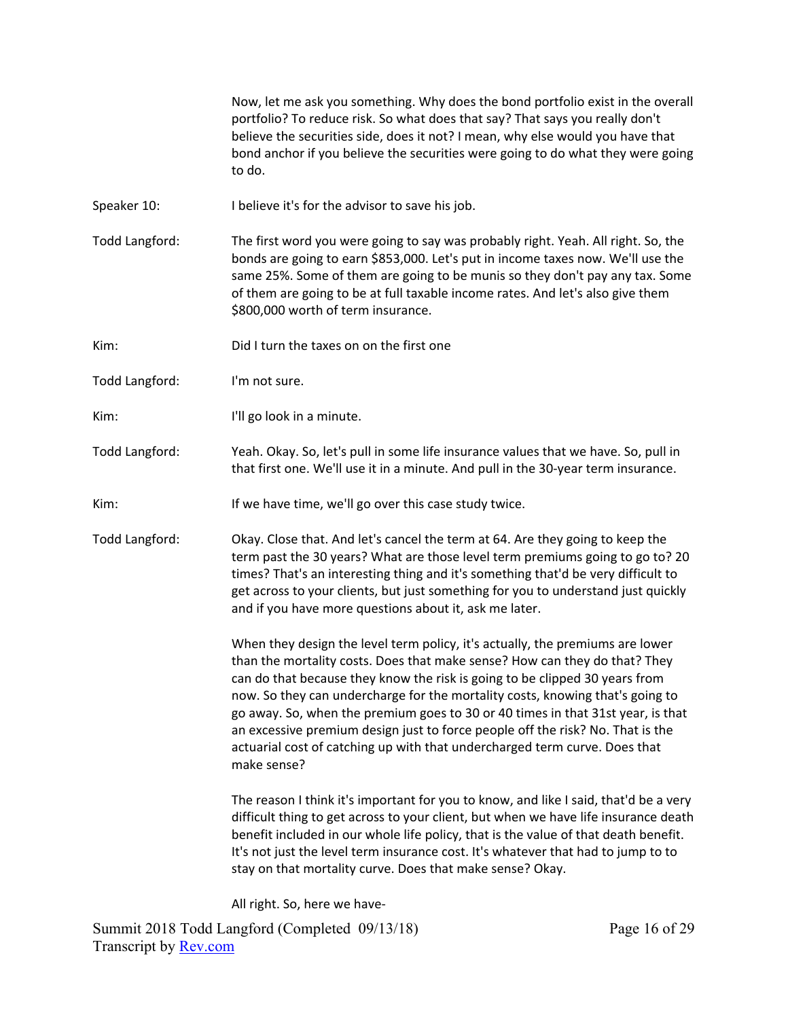Now, let me ask you something. Why does the bond portfolio exist in the overall portfolio? To reduce risk. So what does that say? That says you really don't believe the securities side, does it not? I mean, why else would you have that bond anchor if you believe the securities were going to do what they were going to do.

- Speaker 10: I believe it's for the advisor to save his job.
- Todd Langford: The first word you were going to say was probably right. Yeah. All right. So, the bonds are going to earn \$853,000. Let's put in income taxes now. We'll use the same 25%. Some of them are going to be munis so they don't pay any tax. Some of them are going to be at full taxable income rates. And let's also give them \$800,000 worth of term insurance.
- Kim: Did I turn the taxes on on the first one
- Todd Langford: I'm not sure.
- Kim: I'll go look in a minute.
- Todd Langford: Yeah. Okay. So, let's pull in some life insurance values that we have. So, pull in that first one. We'll use it in a minute. And pull in the 30‐year term insurance.
- Kim: If we have time, we'll go over this case study twice.
- Todd Langford: Okay. Close that. And let's cancel the term at 64. Are they going to keep the term past the 30 years? What are those level term premiums going to go to? 20 times? That's an interesting thing and it's something that'd be very difficult to get across to your clients, but just something for you to understand just quickly and if you have more questions about it, ask me later.

 When they design the level term policy, it's actually, the premiums are lower than the mortality costs. Does that make sense? How can they do that? They can do that because they know the risk is going to be clipped 30 years from now. So they can undercharge for the mortality costs, knowing that's going to go away. So, when the premium goes to 30 or 40 times in that 31st year, is that an excessive premium design just to force people off the risk? No. That is the actuarial cost of catching up with that undercharged term curve. Does that make sense?

 The reason I think it's important for you to know, and like I said, that'd be a very difficult thing to get across to your client, but when we have life insurance death benefit included in our whole life policy, that is the value of that death benefit. It's not just the level term insurance cost. It's whatever that had to jump to to stay on that mortality curve. Does that make sense? Okay.

All right. So, here we have‐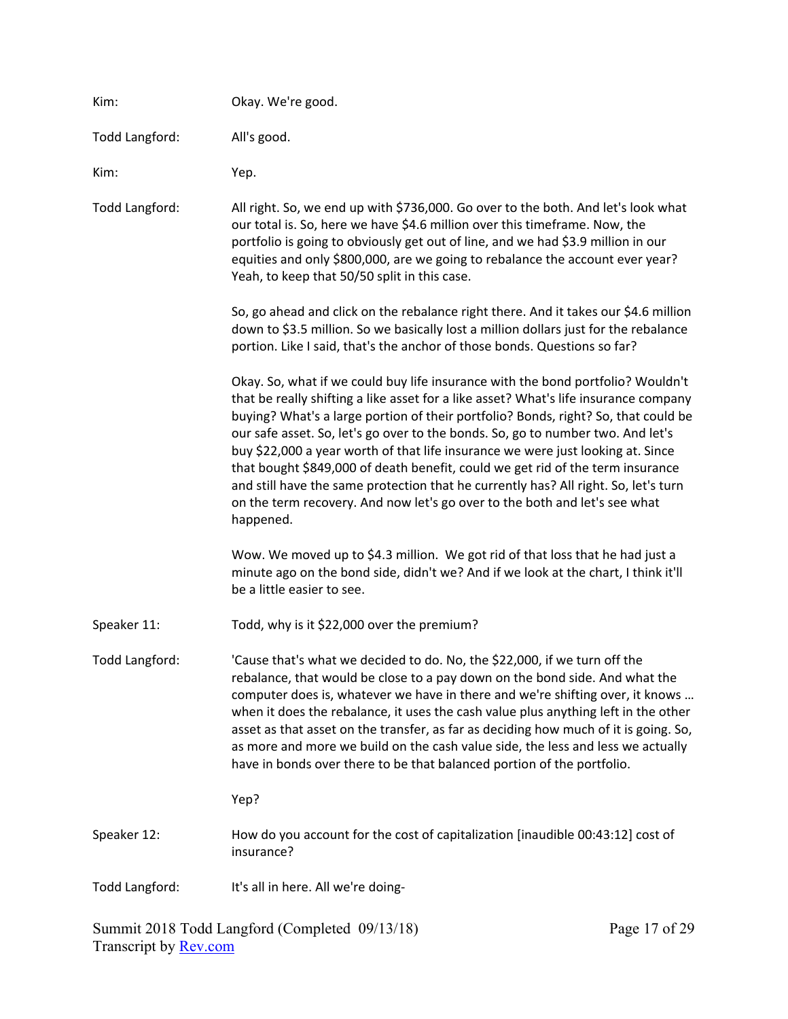| Kim:           | Okay. We're good.                                                                                                                                                                                                                                                                                                                                                                                                                                                                                                                                                                                                                                                                                       |
|----------------|---------------------------------------------------------------------------------------------------------------------------------------------------------------------------------------------------------------------------------------------------------------------------------------------------------------------------------------------------------------------------------------------------------------------------------------------------------------------------------------------------------------------------------------------------------------------------------------------------------------------------------------------------------------------------------------------------------|
| Todd Langford: | All's good.                                                                                                                                                                                                                                                                                                                                                                                                                                                                                                                                                                                                                                                                                             |
| Kim:           | Yep.                                                                                                                                                                                                                                                                                                                                                                                                                                                                                                                                                                                                                                                                                                    |
| Todd Langford: | All right. So, we end up with \$736,000. Go over to the both. And let's look what<br>our total is. So, here we have \$4.6 million over this timeframe. Now, the<br>portfolio is going to obviously get out of line, and we had \$3.9 million in our<br>equities and only \$800,000, are we going to rebalance the account ever year?<br>Yeah, to keep that 50/50 split in this case.                                                                                                                                                                                                                                                                                                                    |
|                | So, go ahead and click on the rebalance right there. And it takes our \$4.6 million<br>down to \$3.5 million. So we basically lost a million dollars just for the rebalance<br>portion. Like I said, that's the anchor of those bonds. Questions so far?                                                                                                                                                                                                                                                                                                                                                                                                                                                |
|                | Okay. So, what if we could buy life insurance with the bond portfolio? Wouldn't<br>that be really shifting a like asset for a like asset? What's life insurance company<br>buying? What's a large portion of their portfolio? Bonds, right? So, that could be<br>our safe asset. So, let's go over to the bonds. So, go to number two. And let's<br>buy \$22,000 a year worth of that life insurance we were just looking at. Since<br>that bought \$849,000 of death benefit, could we get rid of the term insurance<br>and still have the same protection that he currently has? All right. So, let's turn<br>on the term recovery. And now let's go over to the both and let's see what<br>happened. |
|                | Wow. We moved up to \$4.3 million. We got rid of that loss that he had just a<br>minute ago on the bond side, didn't we? And if we look at the chart, I think it'll<br>be a little easier to see.                                                                                                                                                                                                                                                                                                                                                                                                                                                                                                       |
| Speaker 11:    | Todd, why is it \$22,000 over the premium?                                                                                                                                                                                                                                                                                                                                                                                                                                                                                                                                                                                                                                                              |
| Todd Langford: | 'Cause that's what we decided to do. No, the \$22,000, if we turn off the<br>rebalance, that would be close to a pay down on the bond side. And what the<br>computer does is, whatever we have in there and we're shifting over, it knows<br>when it does the rebalance, it uses the cash value plus anything left in the other<br>asset as that asset on the transfer, as far as deciding how much of it is going. So,<br>as more and more we build on the cash value side, the less and less we actually<br>have in bonds over there to be that balanced portion of the portfolio.<br>Yep?                                                                                                            |
| Speaker 12:    | How do you account for the cost of capitalization [inaudible 00:43:12] cost of                                                                                                                                                                                                                                                                                                                                                                                                                                                                                                                                                                                                                          |
|                | insurance?                                                                                                                                                                                                                                                                                                                                                                                                                                                                                                                                                                                                                                                                                              |
| Todd Langford: | It's all in here. All we're doing-                                                                                                                                                                                                                                                                                                                                                                                                                                                                                                                                                                                                                                                                      |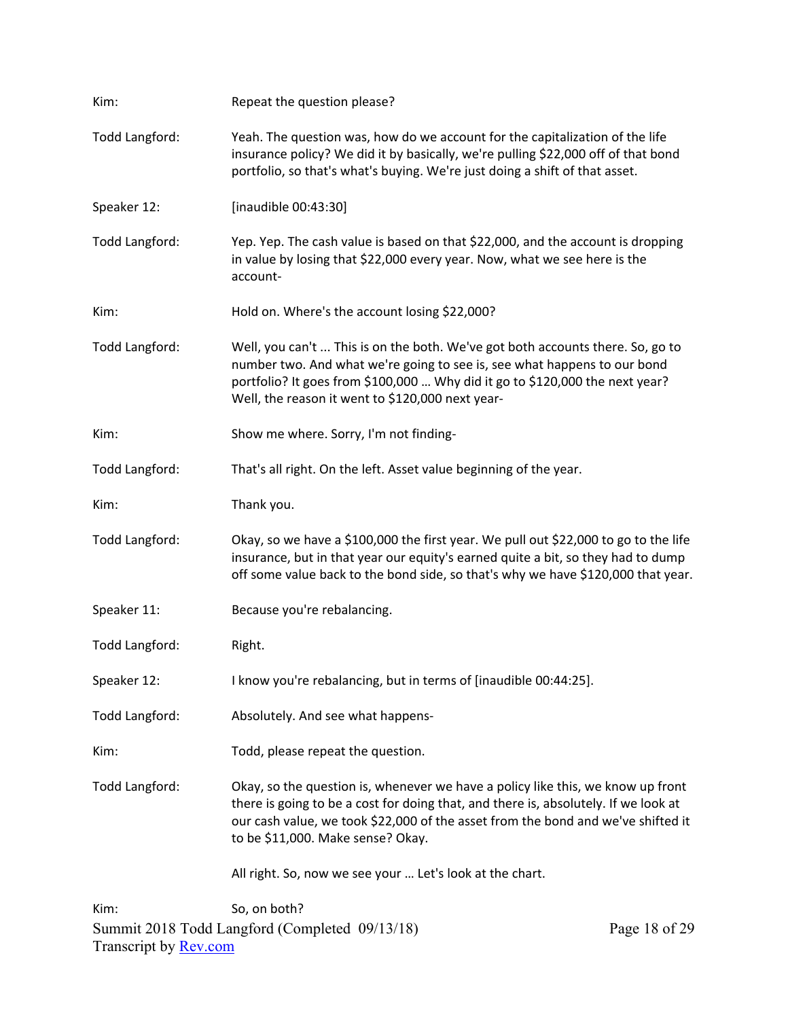| Kim:                         | Repeat the question please?                                                                                                                                                                                                                                                                     |               |  |  |
|------------------------------|-------------------------------------------------------------------------------------------------------------------------------------------------------------------------------------------------------------------------------------------------------------------------------------------------|---------------|--|--|
| Todd Langford:               | Yeah. The question was, how do we account for the capitalization of the life<br>insurance policy? We did it by basically, we're pulling \$22,000 off of that bond<br>portfolio, so that's what's buying. We're just doing a shift of that asset.                                                |               |  |  |
| Speaker 12:                  | [inaudible 00:43:30]                                                                                                                                                                                                                                                                            |               |  |  |
| Todd Langford:               | Yep. Yep. The cash value is based on that \$22,000, and the account is dropping<br>in value by losing that \$22,000 every year. Now, what we see here is the<br>account-                                                                                                                        |               |  |  |
| Kim:                         | Hold on. Where's the account losing \$22,000?                                                                                                                                                                                                                                                   |               |  |  |
| Todd Langford:               | Well, you can't  This is on the both. We've got both accounts there. So, go to<br>number two. And what we're going to see is, see what happens to our bond<br>portfolio? It goes from \$100,000  Why did it go to \$120,000 the next year?<br>Well, the reason it went to \$120,000 next year-  |               |  |  |
| Kim:                         | Show me where. Sorry, I'm not finding-                                                                                                                                                                                                                                                          |               |  |  |
| Todd Langford:               | That's all right. On the left. Asset value beginning of the year.                                                                                                                                                                                                                               |               |  |  |
| Kim:                         | Thank you.                                                                                                                                                                                                                                                                                      |               |  |  |
| Todd Langford:               | Okay, so we have a \$100,000 the first year. We pull out \$22,000 to go to the life<br>insurance, but in that year our equity's earned quite a bit, so they had to dump<br>off some value back to the bond side, so that's why we have \$120,000 that year.                                     |               |  |  |
| Speaker 11:                  | Because you're rebalancing.                                                                                                                                                                                                                                                                     |               |  |  |
| <b>Todd Langford:</b>        | Right.                                                                                                                                                                                                                                                                                          |               |  |  |
| Speaker 12:                  | I know you're rebalancing, but in terms of [inaudible 00:44:25].                                                                                                                                                                                                                                |               |  |  |
| Todd Langford:               | Absolutely. And see what happens-                                                                                                                                                                                                                                                               |               |  |  |
| Kim:                         | Todd, please repeat the question.                                                                                                                                                                                                                                                               |               |  |  |
| Todd Langford:               | Okay, so the question is, whenever we have a policy like this, we know up front<br>there is going to be a cost for doing that, and there is, absolutely. If we look at<br>our cash value, we took \$22,000 of the asset from the bond and we've shifted it<br>to be \$11,000. Make sense? Okay. |               |  |  |
|                              | All right. So, now we see your  Let's look at the chart.                                                                                                                                                                                                                                        |               |  |  |
| Kim:                         | So, on both?<br>Summit 2018 Todd Langford (Completed 09/13/18)                                                                                                                                                                                                                                  | Page 18 of 29 |  |  |
| Transcript by <b>Rev.com</b> |                                                                                                                                                                                                                                                                                                 |               |  |  |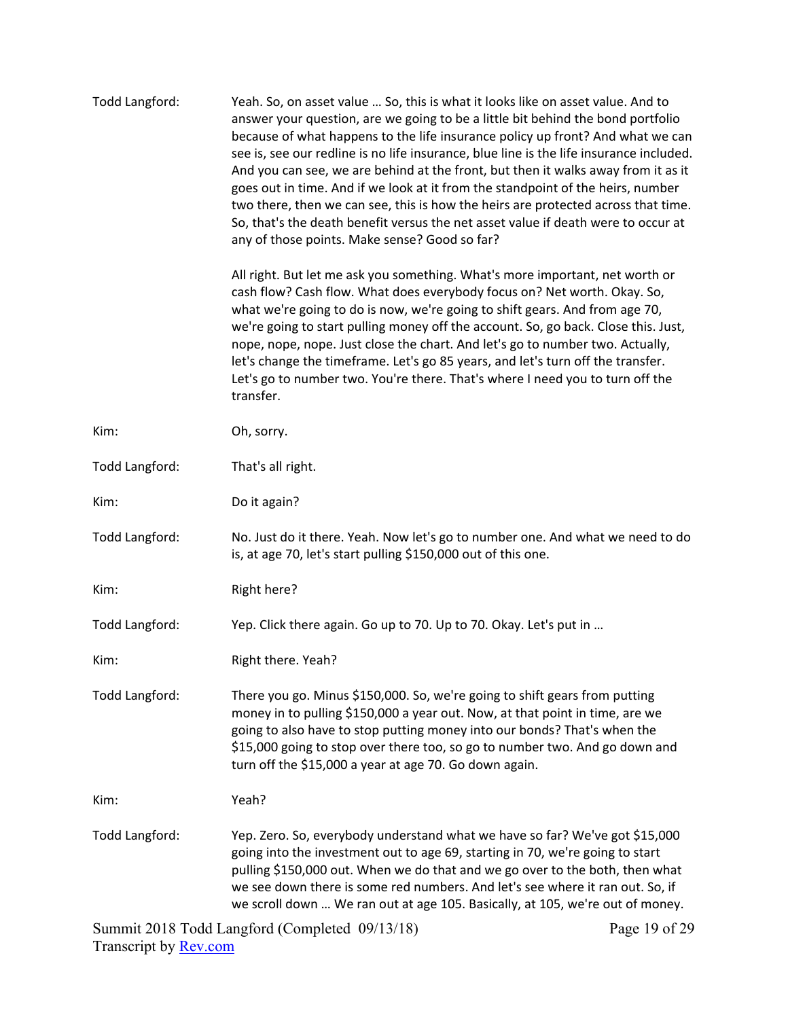| Todd Langford:        | Yeah. So, on asset value  So, this is what it looks like on asset value. And to<br>answer your question, are we going to be a little bit behind the bond portfolio<br>because of what happens to the life insurance policy up front? And what we can<br>see is, see our redline is no life insurance, blue line is the life insurance included.<br>And you can see, we are behind at the front, but then it walks away from it as it<br>goes out in time. And if we look at it from the standpoint of the heirs, number<br>two there, then we can see, this is how the heirs are protected across that time.<br>So, that's the death benefit versus the net asset value if death were to occur at<br>any of those points. Make sense? Good so far? |
|-----------------------|----------------------------------------------------------------------------------------------------------------------------------------------------------------------------------------------------------------------------------------------------------------------------------------------------------------------------------------------------------------------------------------------------------------------------------------------------------------------------------------------------------------------------------------------------------------------------------------------------------------------------------------------------------------------------------------------------------------------------------------------------|
|                       | All right. But let me ask you something. What's more important, net worth or<br>cash flow? Cash flow. What does everybody focus on? Net worth. Okay. So,<br>what we're going to do is now, we're going to shift gears. And from age 70,<br>we're going to start pulling money off the account. So, go back. Close this. Just,<br>nope, nope, nope. Just close the chart. And let's go to number two. Actually,<br>let's change the timeframe. Let's go 85 years, and let's turn off the transfer.<br>Let's go to number two. You're there. That's where I need you to turn off the<br>transfer.                                                                                                                                                    |
| Kim:                  | Oh, sorry.                                                                                                                                                                                                                                                                                                                                                                                                                                                                                                                                                                                                                                                                                                                                         |
| Todd Langford:        | That's all right.                                                                                                                                                                                                                                                                                                                                                                                                                                                                                                                                                                                                                                                                                                                                  |
| Kim:                  | Do it again?                                                                                                                                                                                                                                                                                                                                                                                                                                                                                                                                                                                                                                                                                                                                       |
| Todd Langford:        | No. Just do it there. Yeah. Now let's go to number one. And what we need to do<br>is, at age 70, let's start pulling \$150,000 out of this one.                                                                                                                                                                                                                                                                                                                                                                                                                                                                                                                                                                                                    |
| Kim:                  | Right here?                                                                                                                                                                                                                                                                                                                                                                                                                                                                                                                                                                                                                                                                                                                                        |
| Todd Langford:        | Yep. Click there again. Go up to 70. Up to 70. Okay. Let's put in                                                                                                                                                                                                                                                                                                                                                                                                                                                                                                                                                                                                                                                                                  |
| Kim:                  | Right there. Yeah?                                                                                                                                                                                                                                                                                                                                                                                                                                                                                                                                                                                                                                                                                                                                 |
| <b>Todd Langford:</b> | There you go. Minus \$150,000. So, we're going to shift gears from putting<br>money in to pulling \$150,000 a year out. Now, at that point in time, are we<br>going to also have to stop putting money into our bonds? That's when the<br>\$15,000 going to stop over there too, so go to number two. And go down and<br>turn off the \$15,000 a year at age 70. Go down again.                                                                                                                                                                                                                                                                                                                                                                    |
| Kim:                  | Yeah?                                                                                                                                                                                                                                                                                                                                                                                                                                                                                                                                                                                                                                                                                                                                              |
| Todd Langford:        | Yep. Zero. So, everybody understand what we have so far? We've got \$15,000<br>going into the investment out to age 69, starting in 70, we're going to start<br>pulling \$150,000 out. When we do that and we go over to the both, then what<br>we see down there is some red numbers. And let's see where it ran out. So, if<br>we scroll down  We ran out at age 105. Basically, at 105, we're out of money.                                                                                                                                                                                                                                                                                                                                     |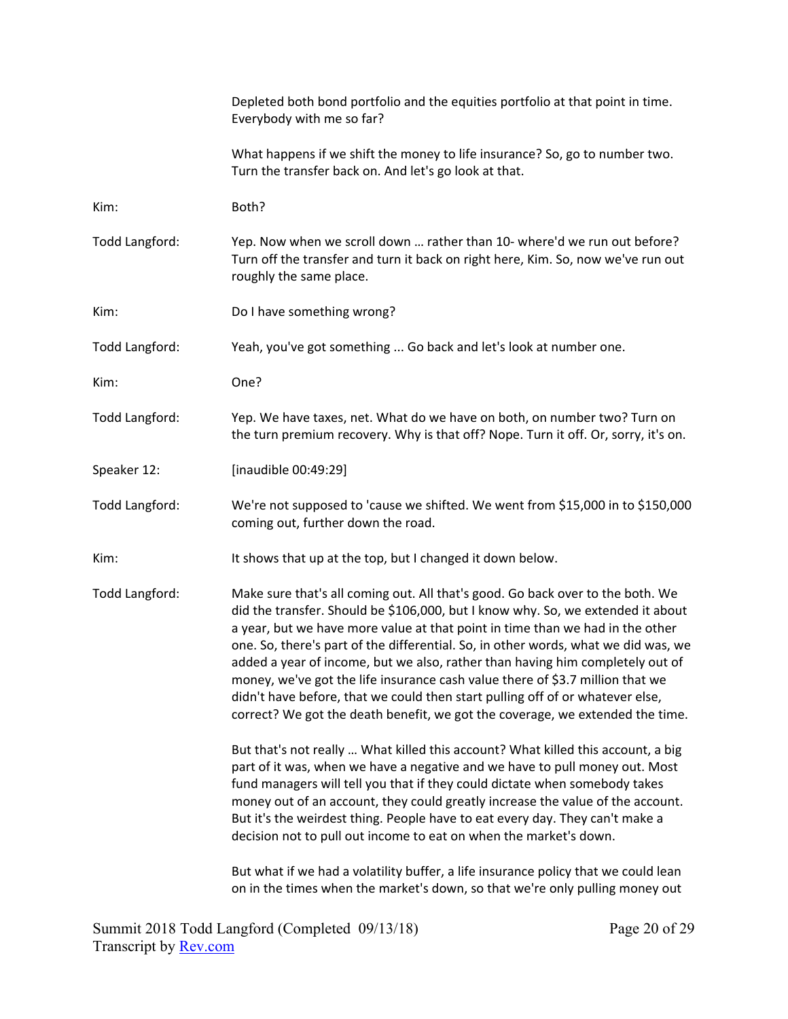|                       | Depleted both bond portfolio and the equities portfolio at that point in time.<br>Everybody with me so far?                                                                                                                                                                                                                                                                                                                                                                                                                                                                                                                                                                  |
|-----------------------|------------------------------------------------------------------------------------------------------------------------------------------------------------------------------------------------------------------------------------------------------------------------------------------------------------------------------------------------------------------------------------------------------------------------------------------------------------------------------------------------------------------------------------------------------------------------------------------------------------------------------------------------------------------------------|
|                       | What happens if we shift the money to life insurance? So, go to number two.<br>Turn the transfer back on. And let's go look at that.                                                                                                                                                                                                                                                                                                                                                                                                                                                                                                                                         |
| Kim:                  | Both?                                                                                                                                                                                                                                                                                                                                                                                                                                                                                                                                                                                                                                                                        |
| Todd Langford:        | Yep. Now when we scroll down  rather than 10- where'd we run out before?<br>Turn off the transfer and turn it back on right here, Kim. So, now we've run out<br>roughly the same place.                                                                                                                                                                                                                                                                                                                                                                                                                                                                                      |
| Kim:                  | Do I have something wrong?                                                                                                                                                                                                                                                                                                                                                                                                                                                                                                                                                                                                                                                   |
| Todd Langford:        | Yeah, you've got something  Go back and let's look at number one.                                                                                                                                                                                                                                                                                                                                                                                                                                                                                                                                                                                                            |
| Kim:                  | One?                                                                                                                                                                                                                                                                                                                                                                                                                                                                                                                                                                                                                                                                         |
| Todd Langford:        | Yep. We have taxes, net. What do we have on both, on number two? Turn on<br>the turn premium recovery. Why is that off? Nope. Turn it off. Or, sorry, it's on.                                                                                                                                                                                                                                                                                                                                                                                                                                                                                                               |
| Speaker 12:           | [inaudible 00:49:29]                                                                                                                                                                                                                                                                                                                                                                                                                                                                                                                                                                                                                                                         |
| Todd Langford:        | We're not supposed to 'cause we shifted. We went from \$15,000 in to \$150,000<br>coming out, further down the road.                                                                                                                                                                                                                                                                                                                                                                                                                                                                                                                                                         |
| Kim:                  | It shows that up at the top, but I changed it down below.                                                                                                                                                                                                                                                                                                                                                                                                                                                                                                                                                                                                                    |
| <b>Todd Langford:</b> | Make sure that's all coming out. All that's good. Go back over to the both. We<br>did the transfer. Should be \$106,000, but I know why. So, we extended it about<br>a year, but we have more value at that point in time than we had in the other<br>one. So, there's part of the differential. So, in other words, what we did was, we<br>added a year of income, but we also, rather than having him completely out of<br>money, we've got the life insurance cash value there of \$3.7 million that we<br>didn't have before, that we could then start pulling off of or whatever else,<br>correct? We got the death benefit, we got the coverage, we extended the time. |
|                       | But that's not really  What killed this account? What killed this account, a big<br>part of it was, when we have a negative and we have to pull money out. Most<br>fund managers will tell you that if they could dictate when somebody takes<br>money out of an account, they could greatly increase the value of the account.<br>But it's the weirdest thing. People have to eat every day. They can't make a<br>decision not to pull out income to eat on when the market's down.                                                                                                                                                                                         |
|                       | But what if we had a volatility buffer, a life insurance policy that we could lean<br>on in the times when the market's down, so that we're only pulling money out                                                                                                                                                                                                                                                                                                                                                                                                                                                                                                           |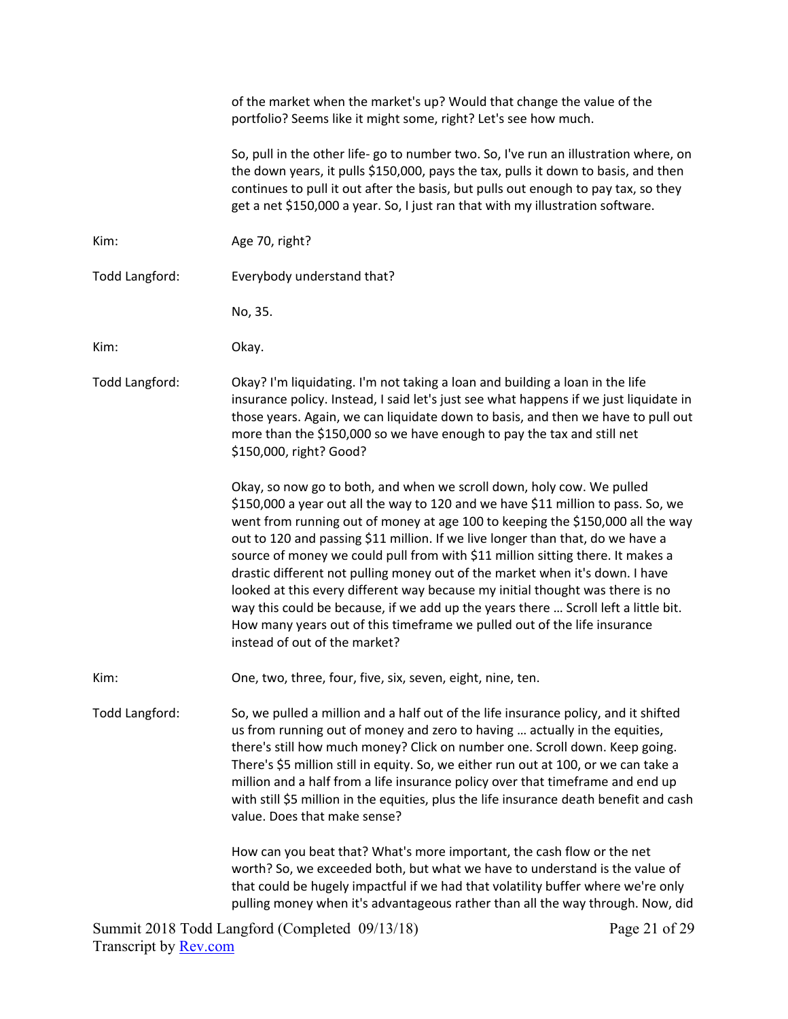|                | of the market when the market's up? Would that change the value of the<br>portfolio? Seems like it might some, right? Let's see how much.                                                                                                                                                                                                                                                                                                                                                                                                                                                                                                                                                                                                                                           |
|----------------|-------------------------------------------------------------------------------------------------------------------------------------------------------------------------------------------------------------------------------------------------------------------------------------------------------------------------------------------------------------------------------------------------------------------------------------------------------------------------------------------------------------------------------------------------------------------------------------------------------------------------------------------------------------------------------------------------------------------------------------------------------------------------------------|
|                | So, pull in the other life- go to number two. So, I've run an illustration where, on<br>the down years, it pulls \$150,000, pays the tax, pulls it down to basis, and then<br>continues to pull it out after the basis, but pulls out enough to pay tax, so they<br>get a net \$150,000 a year. So, I just ran that with my illustration software.                                                                                                                                                                                                                                                                                                                                                                                                                                  |
| Kim:           | Age 70, right?                                                                                                                                                                                                                                                                                                                                                                                                                                                                                                                                                                                                                                                                                                                                                                      |
| Todd Langford: | Everybody understand that?                                                                                                                                                                                                                                                                                                                                                                                                                                                                                                                                                                                                                                                                                                                                                          |
|                | No, 35.                                                                                                                                                                                                                                                                                                                                                                                                                                                                                                                                                                                                                                                                                                                                                                             |
| Kim:           | Okay.                                                                                                                                                                                                                                                                                                                                                                                                                                                                                                                                                                                                                                                                                                                                                                               |
| Todd Langford: | Okay? I'm liquidating. I'm not taking a loan and building a loan in the life<br>insurance policy. Instead, I said let's just see what happens if we just liquidate in<br>those years. Again, we can liquidate down to basis, and then we have to pull out<br>more than the \$150,000 so we have enough to pay the tax and still net<br>\$150,000, right? Good?                                                                                                                                                                                                                                                                                                                                                                                                                      |
|                | Okay, so now go to both, and when we scroll down, holy cow. We pulled<br>\$150,000 a year out all the way to 120 and we have \$11 million to pass. So, we<br>went from running out of money at age 100 to keeping the \$150,000 all the way<br>out to 120 and passing \$11 million. If we live longer than that, do we have a<br>source of money we could pull from with \$11 million sitting there. It makes a<br>drastic different not pulling money out of the market when it's down. I have<br>looked at this every different way because my initial thought was there is no<br>way this could be because, if we add up the years there  Scroll left a little bit.<br>How many years out of this timeframe we pulled out of the life insurance<br>instead of out of the market? |
| Kim:           | One, two, three, four, five, six, seven, eight, nine, ten.                                                                                                                                                                                                                                                                                                                                                                                                                                                                                                                                                                                                                                                                                                                          |
| Todd Langford: | So, we pulled a million and a half out of the life insurance policy, and it shifted<br>us from running out of money and zero to having  actually in the equities,<br>there's still how much money? Click on number one. Scroll down. Keep going.<br>There's \$5 million still in equity. So, we either run out at 100, or we can take a<br>million and a half from a life insurance policy over that timeframe and end up<br>with still \$5 million in the equities, plus the life insurance death benefit and cash<br>value. Does that make sense?                                                                                                                                                                                                                                 |
|                | How can you beat that? What's more important, the cash flow or the net<br>worth? So, we exceeded both, but what we have to understand is the value of<br>that could be hugely impactful if we had that volatility buffer where we're only<br>pulling money when it's advantageous rather than all the way through. Now, did                                                                                                                                                                                                                                                                                                                                                                                                                                                         |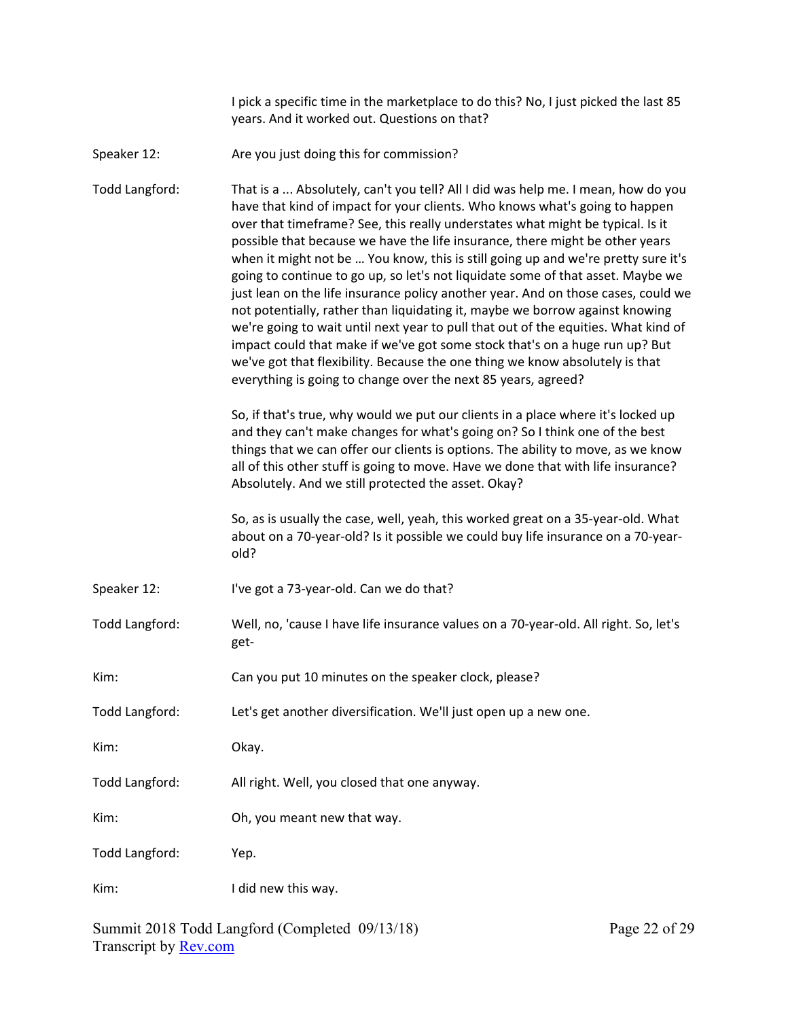I pick a specific time in the marketplace to do this? No, I just picked the last 85 years. And it worked out. Questions on that?

Speaker 12: Speaker 12: Are you just doing this for commission?

Todd Langford: That is a ... Absolutely, can't you tell? All I did was help me. I mean, how do you have that kind of impact for your clients. Who knows what's going to happen over that timeframe? See, this really understates what might be typical. Is it possible that because we have the life insurance, there might be other years when it might not be ... You know, this is still going up and we're pretty sure it's going to continue to go up, so let's not liquidate some of that asset. Maybe we just lean on the life insurance policy another year. And on those cases, could we not potentially, rather than liquidating it, maybe we borrow against knowing we're going to wait until next year to pull that out of the equities. What kind of impact could that make if we've got some stock that's on a huge run up? But we've got that flexibility. Because the one thing we know absolutely is that everything is going to change over the next 85 years, agreed?

> So, if that's true, why would we put our clients in a place where it's locked up and they can't make changes for what's going on? So I think one of the best things that we can offer our clients is options. The ability to move, as we know all of this other stuff is going to move. Have we done that with life insurance? Absolutely. And we still protected the asset. Okay?

> So, as is usually the case, well, yeah, this worked great on a 35‐year‐old. What about on a 70‐year‐old? Is it possible we could buy life insurance on a 70‐year‐ old?

- Speaker 12: I've got a 73-year-old. Can we do that?
- Todd Langford: Well, no, 'cause I have life insurance values on a 70‐year‐old. All right. So, let's get‐
- Kim: Can you put 10 minutes on the speaker clock, please?
- Todd Langford: Let's get another diversification. We'll just open up a new one.

Kim: Okay.

Todd Langford: All right. Well, you closed that one anyway.

Kim: Ch, you meant new that way.

Todd Langford: Yep.

Kim: I did new this way.

Summit 2018 Todd Langford (Completed 09/13/18) Transcript by **Rev.com**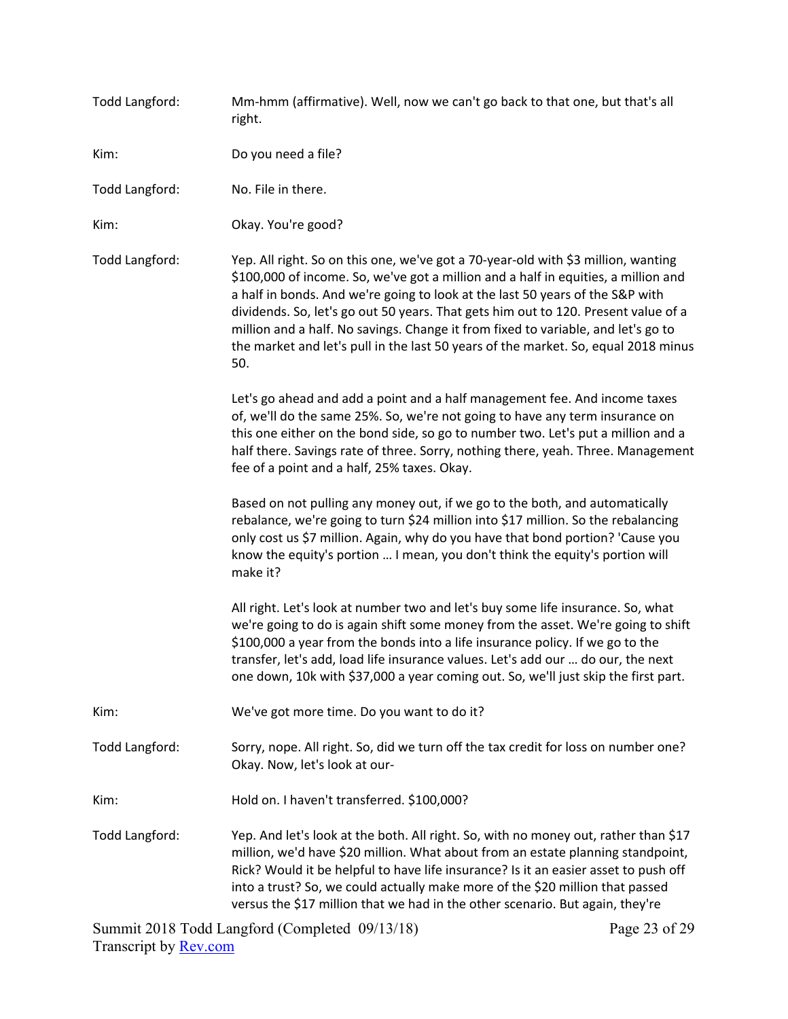| Todd Langford:        | Mm-hmm (affirmative). Well, now we can't go back to that one, but that's all<br>right.                                                                                                                                                                                                                                                                                                                                                                                                                                           |
|-----------------------|----------------------------------------------------------------------------------------------------------------------------------------------------------------------------------------------------------------------------------------------------------------------------------------------------------------------------------------------------------------------------------------------------------------------------------------------------------------------------------------------------------------------------------|
| Kim:                  | Do you need a file?                                                                                                                                                                                                                                                                                                                                                                                                                                                                                                              |
| Todd Langford:        | No. File in there.                                                                                                                                                                                                                                                                                                                                                                                                                                                                                                               |
| Kim:                  | Okay. You're good?                                                                                                                                                                                                                                                                                                                                                                                                                                                                                                               |
| <b>Todd Langford:</b> | Yep. All right. So on this one, we've got a 70-year-old with \$3 million, wanting<br>\$100,000 of income. So, we've got a million and a half in equities, a million and<br>a half in bonds. And we're going to look at the last 50 years of the S&P with<br>dividends. So, let's go out 50 years. That gets him out to 120. Present value of a<br>million and a half. No savings. Change it from fixed to variable, and let's go to<br>the market and let's pull in the last 50 years of the market. So, equal 2018 minus<br>50. |
|                       | Let's go ahead and add a point and a half management fee. And income taxes<br>of, we'll do the same 25%. So, we're not going to have any term insurance on<br>this one either on the bond side, so go to number two. Let's put a million and a<br>half there. Savings rate of three. Sorry, nothing there, yeah. Three. Management<br>fee of a point and a half, 25% taxes. Okay.                                                                                                                                                |
|                       | Based on not pulling any money out, if we go to the both, and automatically<br>rebalance, we're going to turn \$24 million into \$17 million. So the rebalancing<br>only cost us \$7 million. Again, why do you have that bond portion? 'Cause you<br>know the equity's portion  I mean, you don't think the equity's portion will<br>make it?                                                                                                                                                                                   |
|                       | All right. Let's look at number two and let's buy some life insurance. So, what<br>we're going to do is again shift some money from the asset. We're going to shift<br>\$100,000 a year from the bonds into a life insurance policy. If we go to the<br>transfer, let's add, load life insurance values. Let's add our  do our, the next<br>one down, 10k with \$37,000 a year coming out. So, we'll just skip the first part.                                                                                                   |
| Kim:                  | We've got more time. Do you want to do it?                                                                                                                                                                                                                                                                                                                                                                                                                                                                                       |
| <b>Todd Langford:</b> | Sorry, nope. All right. So, did we turn off the tax credit for loss on number one?<br>Okay. Now, let's look at our-                                                                                                                                                                                                                                                                                                                                                                                                              |
| Kim:                  | Hold on. I haven't transferred. \$100,000?                                                                                                                                                                                                                                                                                                                                                                                                                                                                                       |
| <b>Todd Langford:</b> | Yep. And let's look at the both. All right. So, with no money out, rather than \$17<br>million, we'd have \$20 million. What about from an estate planning standpoint,<br>Rick? Would it be helpful to have life insurance? Is it an easier asset to push off<br>into a trust? So, we could actually make more of the \$20 million that passed<br>versus the \$17 million that we had in the other scenario. But again, they're                                                                                                  |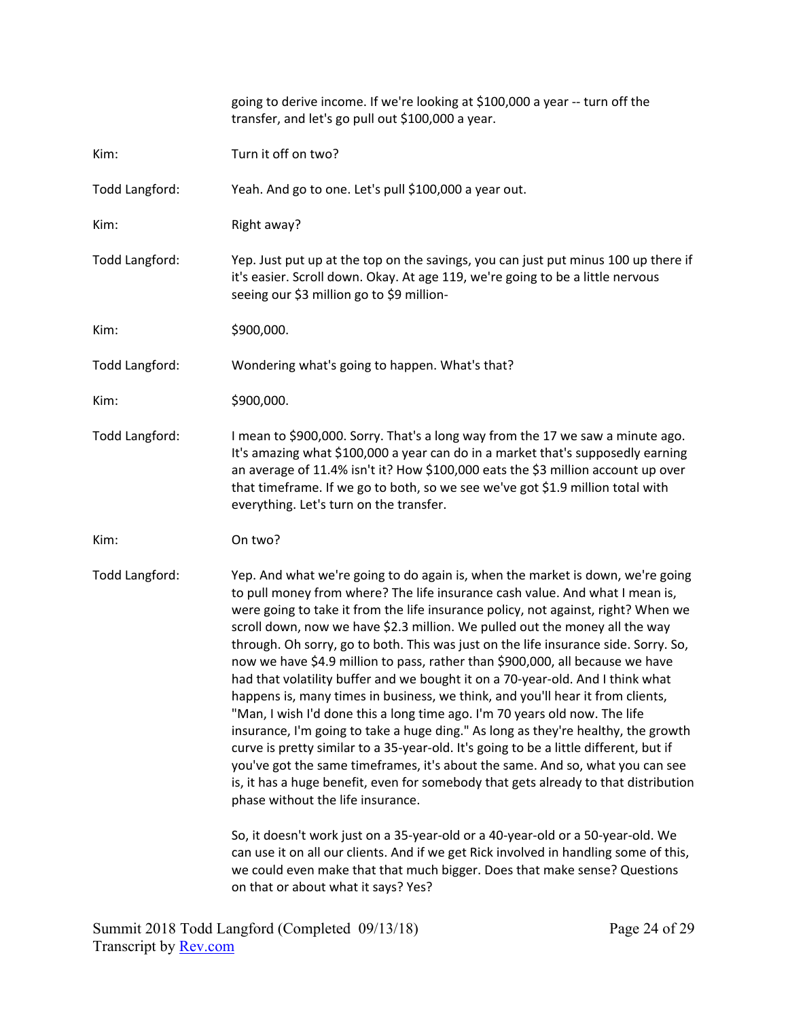|                | going to derive income. If we're looking at \$100,000 a year -- turn off the<br>transfer, and let's go pull out \$100,000 a year.                                                                                                                                                                                                                                                                                                                                                                                                                                                                                                                                                                                                                                                                                                                                                                                                                                                                                                                                                                                                                       |
|----------------|---------------------------------------------------------------------------------------------------------------------------------------------------------------------------------------------------------------------------------------------------------------------------------------------------------------------------------------------------------------------------------------------------------------------------------------------------------------------------------------------------------------------------------------------------------------------------------------------------------------------------------------------------------------------------------------------------------------------------------------------------------------------------------------------------------------------------------------------------------------------------------------------------------------------------------------------------------------------------------------------------------------------------------------------------------------------------------------------------------------------------------------------------------|
| Kim:           | Turn it off on two?                                                                                                                                                                                                                                                                                                                                                                                                                                                                                                                                                                                                                                                                                                                                                                                                                                                                                                                                                                                                                                                                                                                                     |
| Todd Langford: | Yeah. And go to one. Let's pull \$100,000 a year out.                                                                                                                                                                                                                                                                                                                                                                                                                                                                                                                                                                                                                                                                                                                                                                                                                                                                                                                                                                                                                                                                                                   |
| Kim:           | Right away?                                                                                                                                                                                                                                                                                                                                                                                                                                                                                                                                                                                                                                                                                                                                                                                                                                                                                                                                                                                                                                                                                                                                             |
| Todd Langford: | Yep. Just put up at the top on the savings, you can just put minus 100 up there if<br>it's easier. Scroll down. Okay. At age 119, we're going to be a little nervous<br>seeing our \$3 million go to \$9 million-                                                                                                                                                                                                                                                                                                                                                                                                                                                                                                                                                                                                                                                                                                                                                                                                                                                                                                                                       |
| Kim:           | \$900,000.                                                                                                                                                                                                                                                                                                                                                                                                                                                                                                                                                                                                                                                                                                                                                                                                                                                                                                                                                                                                                                                                                                                                              |
| Todd Langford: | Wondering what's going to happen. What's that?                                                                                                                                                                                                                                                                                                                                                                                                                                                                                                                                                                                                                                                                                                                                                                                                                                                                                                                                                                                                                                                                                                          |
| Kim:           | \$900,000.                                                                                                                                                                                                                                                                                                                                                                                                                                                                                                                                                                                                                                                                                                                                                                                                                                                                                                                                                                                                                                                                                                                                              |
| Todd Langford: | I mean to \$900,000. Sorry. That's a long way from the 17 we saw a minute ago.<br>It's amazing what \$100,000 a year can do in a market that's supposedly earning<br>an average of 11.4% isn't it? How \$100,000 eats the \$3 million account up over<br>that timeframe. If we go to both, so we see we've got \$1.9 million total with<br>everything. Let's turn on the transfer.                                                                                                                                                                                                                                                                                                                                                                                                                                                                                                                                                                                                                                                                                                                                                                      |
| Kim:           | On two?                                                                                                                                                                                                                                                                                                                                                                                                                                                                                                                                                                                                                                                                                                                                                                                                                                                                                                                                                                                                                                                                                                                                                 |
| Todd Langford: | Yep. And what we're going to do again is, when the market is down, we're going<br>to pull money from where? The life insurance cash value. And what I mean is,<br>were going to take it from the life insurance policy, not against, right? When we<br>scroll down, now we have \$2.3 million. We pulled out the money all the way<br>through. Oh sorry, go to both. This was just on the life insurance side. Sorry. So,<br>now we have \$4.9 million to pass, rather than \$900,000, all because we have<br>had that volatility buffer and we bought it on a 70-year-old. And I think what<br>happens is, many times in business, we think, and you'll hear it from clients,<br>"Man, I wish I'd done this a long time ago. I'm 70 years old now. The life<br>insurance, I'm going to take a huge ding." As long as they're healthy, the growth<br>curve is pretty similar to a 35-year-old. It's going to be a little different, but if<br>you've got the same timeframes, it's about the same. And so, what you can see<br>is, it has a huge benefit, even for somebody that gets already to that distribution<br>phase without the life insurance. |
|                | So, it doesn't work just on a 35-year-old or a 40-year-old or a 50-year-old. We<br>can use it on all our clients. And if we get Rick involved in handling some of this,<br>we could even make that that much bigger. Does that make sense? Questions<br>on that or about what it says? Yes?                                                                                                                                                                                                                                                                                                                                                                                                                                                                                                                                                                                                                                                                                                                                                                                                                                                             |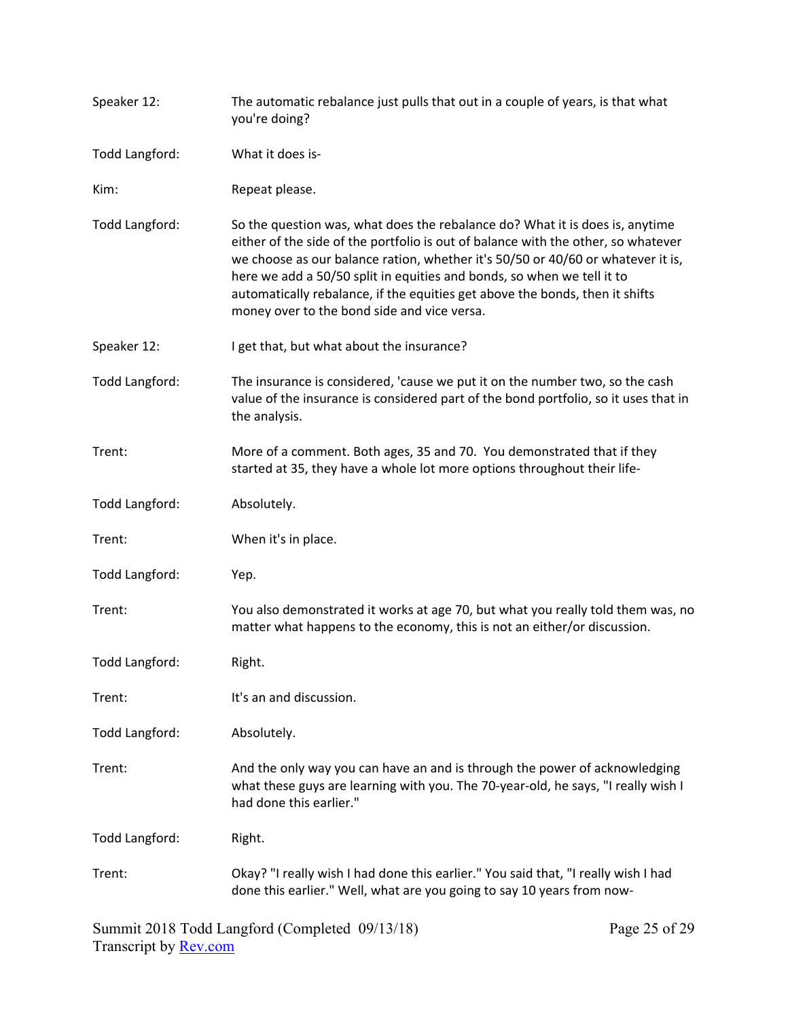| Speaker 12:    | The automatic rebalance just pulls that out in a couple of years, is that what<br>you're doing?                                                                                                                                                                                                                                                                                                                                                               |
|----------------|---------------------------------------------------------------------------------------------------------------------------------------------------------------------------------------------------------------------------------------------------------------------------------------------------------------------------------------------------------------------------------------------------------------------------------------------------------------|
| Todd Langford: | What it does is-                                                                                                                                                                                                                                                                                                                                                                                                                                              |
| Kim:           | Repeat please.                                                                                                                                                                                                                                                                                                                                                                                                                                                |
| Todd Langford: | So the question was, what does the rebalance do? What it is does is, anytime<br>either of the side of the portfolio is out of balance with the other, so whatever<br>we choose as our balance ration, whether it's 50/50 or 40/60 or whatever it is,<br>here we add a 50/50 split in equities and bonds, so when we tell it to<br>automatically rebalance, if the equities get above the bonds, then it shifts<br>money over to the bond side and vice versa. |
| Speaker 12:    | I get that, but what about the insurance?                                                                                                                                                                                                                                                                                                                                                                                                                     |
| Todd Langford: | The insurance is considered, 'cause we put it on the number two, so the cash<br>value of the insurance is considered part of the bond portfolio, so it uses that in<br>the analysis.                                                                                                                                                                                                                                                                          |
| Trent:         | More of a comment. Both ages, 35 and 70. You demonstrated that if they<br>started at 35, they have a whole lot more options throughout their life-                                                                                                                                                                                                                                                                                                            |
| Todd Langford: | Absolutely.                                                                                                                                                                                                                                                                                                                                                                                                                                                   |
| Trent:         | When it's in place.                                                                                                                                                                                                                                                                                                                                                                                                                                           |
| Todd Langford: | Yep.                                                                                                                                                                                                                                                                                                                                                                                                                                                          |
| Trent:         | You also demonstrated it works at age 70, but what you really told them was, no<br>matter what happens to the economy, this is not an either/or discussion.                                                                                                                                                                                                                                                                                                   |
| Todd Langford: | Right.                                                                                                                                                                                                                                                                                                                                                                                                                                                        |
| Trent:         | It's an and discussion.                                                                                                                                                                                                                                                                                                                                                                                                                                       |
| Todd Langford: | Absolutely.                                                                                                                                                                                                                                                                                                                                                                                                                                                   |
| Trent:         | And the only way you can have an and is through the power of acknowledging<br>what these guys are learning with you. The 70-year-old, he says, "I really wish I<br>had done this earlier."                                                                                                                                                                                                                                                                    |
| Todd Langford: | Right.                                                                                                                                                                                                                                                                                                                                                                                                                                                        |
| Trent:         | Okay? "I really wish I had done this earlier." You said that, "I really wish I had<br>done this earlier." Well, what are you going to say 10 years from now-                                                                                                                                                                                                                                                                                                  |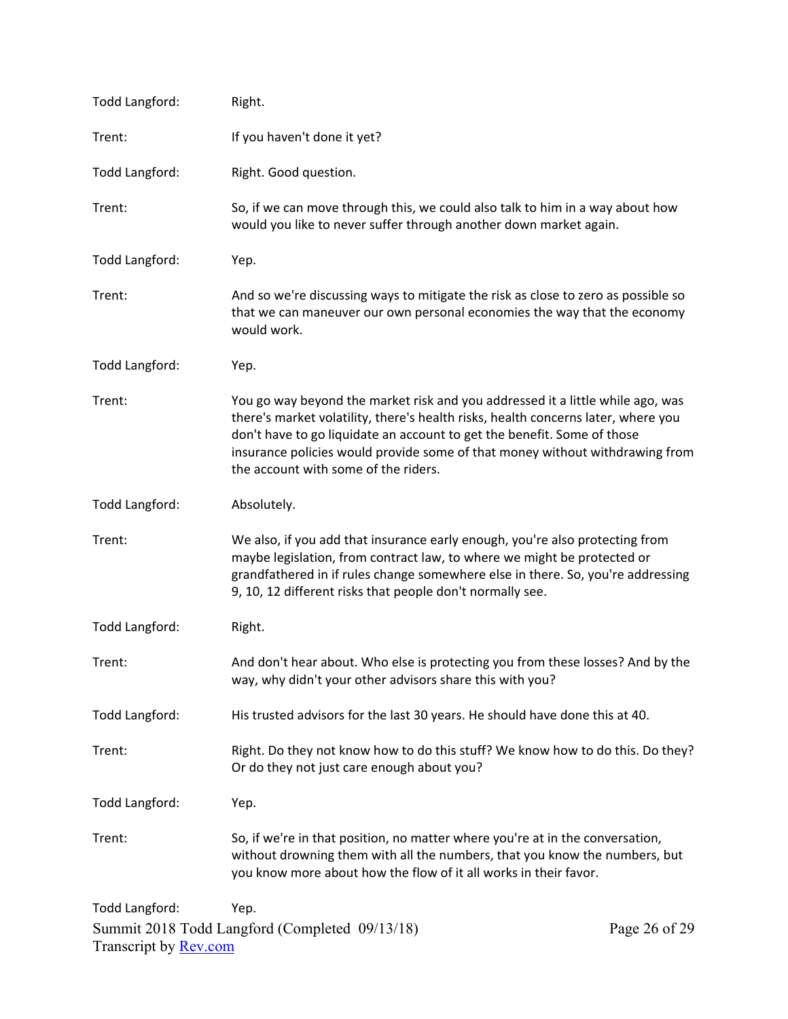| Todd Langford:                                 | Right.                                                                                                                                                                                                                                                                                                                                                                 |               |
|------------------------------------------------|------------------------------------------------------------------------------------------------------------------------------------------------------------------------------------------------------------------------------------------------------------------------------------------------------------------------------------------------------------------------|---------------|
| Trent:                                         | If you haven't done it yet?                                                                                                                                                                                                                                                                                                                                            |               |
| Todd Langford:                                 | Right. Good question.                                                                                                                                                                                                                                                                                                                                                  |               |
| Trent:                                         | So, if we can move through this, we could also talk to him in a way about how<br>would you like to never suffer through another down market again.                                                                                                                                                                                                                     |               |
| Todd Langford:                                 | Yep.                                                                                                                                                                                                                                                                                                                                                                   |               |
| Trent:                                         | And so we're discussing ways to mitigate the risk as close to zero as possible so<br>that we can maneuver our own personal economies the way that the economy<br>would work.                                                                                                                                                                                           |               |
| Todd Langford:                                 | Yep.                                                                                                                                                                                                                                                                                                                                                                   |               |
| Trent:                                         | You go way beyond the market risk and you addressed it a little while ago, was<br>there's market volatility, there's health risks, health concerns later, where you<br>don't have to go liquidate an account to get the benefit. Some of those<br>insurance policies would provide some of that money without withdrawing from<br>the account with some of the riders. |               |
| Todd Langford:                                 | Absolutely.                                                                                                                                                                                                                                                                                                                                                            |               |
| Trent:                                         | We also, if you add that insurance early enough, you're also protecting from<br>maybe legislation, from contract law, to where we might be protected or<br>grandfathered in if rules change somewhere else in there. So, you're addressing<br>9, 10, 12 different risks that people don't normally see.                                                                |               |
| Todd Langford:                                 | Right.                                                                                                                                                                                                                                                                                                                                                                 |               |
| Trent:                                         | And don't hear about. Who else is protecting you from these losses? And by the<br>way, why didn't your other advisors share this with you?                                                                                                                                                                                                                             |               |
| Todd Langford:                                 | His trusted advisors for the last 30 years. He should have done this at 40.                                                                                                                                                                                                                                                                                            |               |
| Trent:                                         | Right. Do they not know how to do this stuff? We know how to do this. Do they?<br>Or do they not just care enough about you?                                                                                                                                                                                                                                           |               |
| Todd Langford:                                 | Yep.                                                                                                                                                                                                                                                                                                                                                                   |               |
| Trent:                                         | So, if we're in that position, no matter where you're at in the conversation,<br>without drowning them with all the numbers, that you know the numbers, but<br>you know more about how the flow of it all works in their favor.                                                                                                                                        |               |
| Todd Langford:<br>Transcript by <b>Rev.com</b> | Yep.<br>Summit 2018 Todd Langford (Completed 09/13/18)                                                                                                                                                                                                                                                                                                                 | Page 26 of 29 |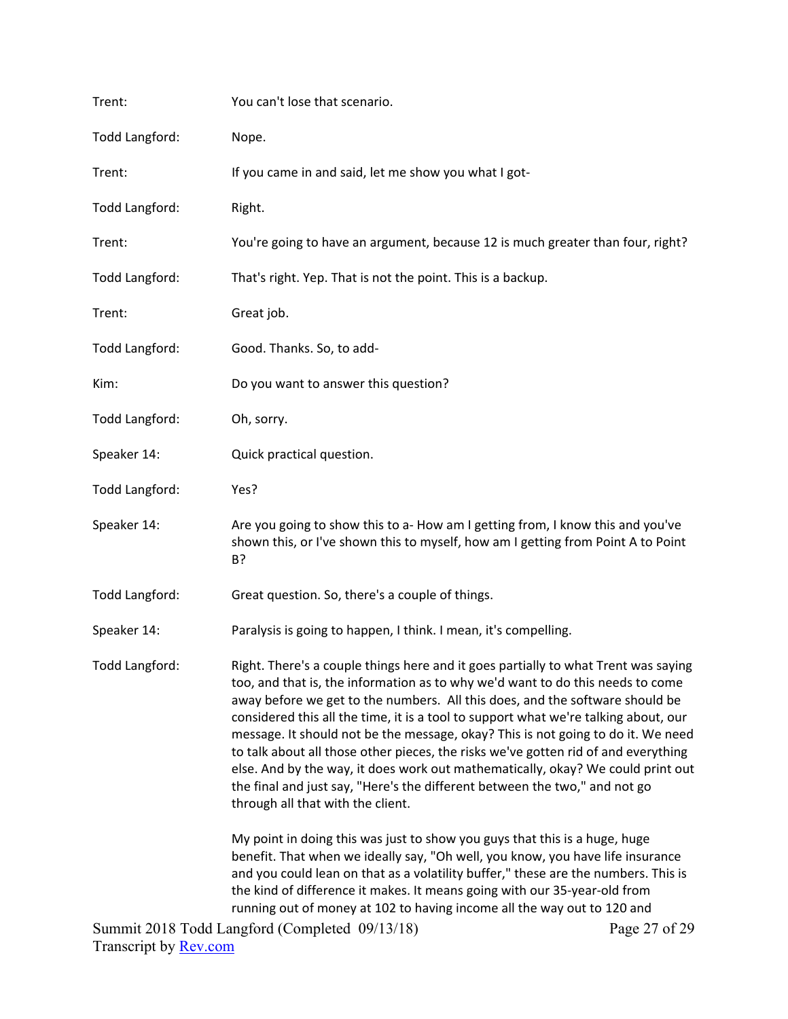| Trent:         | You can't lose that scenario.                                                                                                                                                                                                                                                                                                                                                                                                                                                                                                                                                                                                                                                                                               |
|----------------|-----------------------------------------------------------------------------------------------------------------------------------------------------------------------------------------------------------------------------------------------------------------------------------------------------------------------------------------------------------------------------------------------------------------------------------------------------------------------------------------------------------------------------------------------------------------------------------------------------------------------------------------------------------------------------------------------------------------------------|
| Todd Langford: | Nope.                                                                                                                                                                                                                                                                                                                                                                                                                                                                                                                                                                                                                                                                                                                       |
| Trent:         | If you came in and said, let me show you what I got-                                                                                                                                                                                                                                                                                                                                                                                                                                                                                                                                                                                                                                                                        |
| Todd Langford: | Right.                                                                                                                                                                                                                                                                                                                                                                                                                                                                                                                                                                                                                                                                                                                      |
| Trent:         | You're going to have an argument, because 12 is much greater than four, right?                                                                                                                                                                                                                                                                                                                                                                                                                                                                                                                                                                                                                                              |
| Todd Langford: | That's right. Yep. That is not the point. This is a backup.                                                                                                                                                                                                                                                                                                                                                                                                                                                                                                                                                                                                                                                                 |
| Trent:         | Great job.                                                                                                                                                                                                                                                                                                                                                                                                                                                                                                                                                                                                                                                                                                                  |
| Todd Langford: | Good. Thanks. So, to add-                                                                                                                                                                                                                                                                                                                                                                                                                                                                                                                                                                                                                                                                                                   |
| Kim:           | Do you want to answer this question?                                                                                                                                                                                                                                                                                                                                                                                                                                                                                                                                                                                                                                                                                        |
| Todd Langford: | Oh, sorry.                                                                                                                                                                                                                                                                                                                                                                                                                                                                                                                                                                                                                                                                                                                  |
| Speaker 14:    | Quick practical question.                                                                                                                                                                                                                                                                                                                                                                                                                                                                                                                                                                                                                                                                                                   |
| Todd Langford: | Yes?                                                                                                                                                                                                                                                                                                                                                                                                                                                                                                                                                                                                                                                                                                                        |
| Speaker 14:    | Are you going to show this to a- How am I getting from, I know this and you've<br>shown this, or I've shown this to myself, how am I getting from Point A to Point<br>B?                                                                                                                                                                                                                                                                                                                                                                                                                                                                                                                                                    |
| Todd Langford: | Great question. So, there's a couple of things.                                                                                                                                                                                                                                                                                                                                                                                                                                                                                                                                                                                                                                                                             |
| Speaker 14:    | Paralysis is going to happen, I think. I mean, it's compelling.                                                                                                                                                                                                                                                                                                                                                                                                                                                                                                                                                                                                                                                             |
| Todd Langford: | Right. There's a couple things here and it goes partially to what Trent was saying<br>too, and that is, the information as to why we'd want to do this needs to come<br>away before we get to the numbers. All this does, and the software should be<br>considered this all the time, it is a tool to support what we're talking about, our<br>message. It should not be the message, okay? This is not going to do it. We need<br>to talk about all those other pieces, the risks we've gotten rid of and everything<br>else. And by the way, it does work out mathematically, okay? We could print out<br>the final and just say, "Here's the different between the two," and not go<br>through all that with the client. |
|                | My point in doing this was just to show you guys that this is a huge, huge<br>benefit. That when we ideally say, "Oh well, you know, you have life insurance<br>and you could lean on that as a volatility buffer," these are the numbers. This is<br>the kind of difference it makes. It means going with our 35-year-old from<br>running out of money at 102 to having income all the way out to 120 and                                                                                                                                                                                                                                                                                                                  |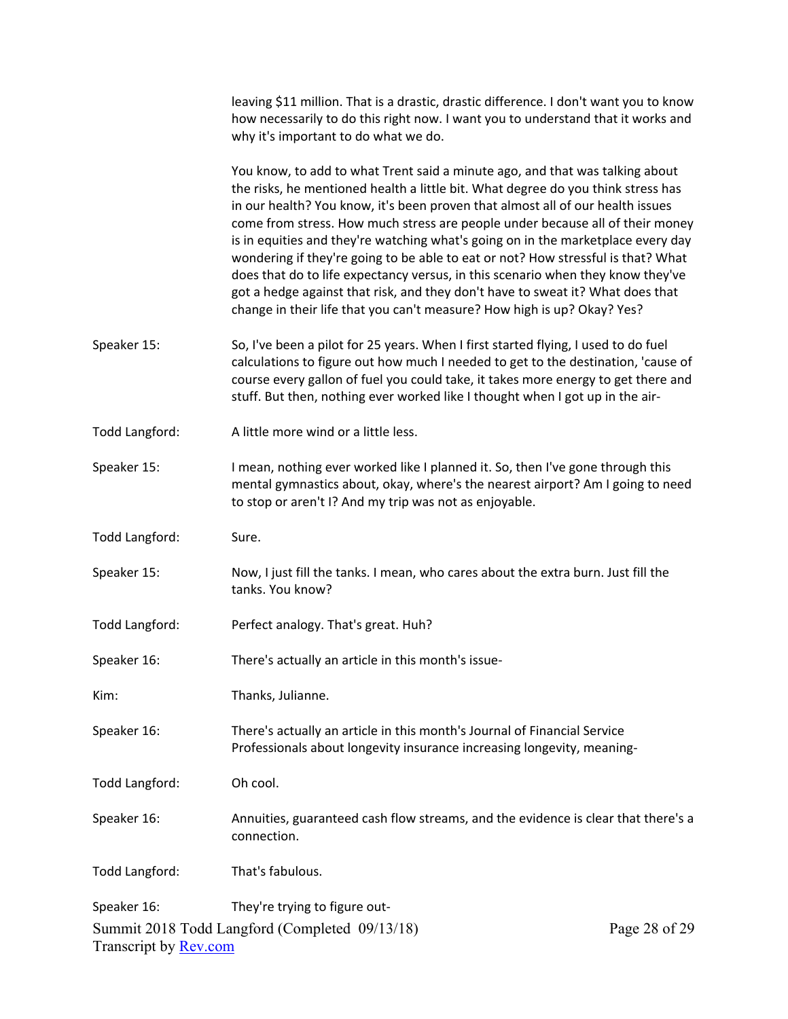|                              | leaving \$11 million. That is a drastic, drastic difference. I don't want you to know<br>how necessarily to do this right now. I want you to understand that it works and<br>why it's important to do what we do.                                                                                                                                                                                                                                                                                                                                                                                                                                                                                                                                           |
|------------------------------|-------------------------------------------------------------------------------------------------------------------------------------------------------------------------------------------------------------------------------------------------------------------------------------------------------------------------------------------------------------------------------------------------------------------------------------------------------------------------------------------------------------------------------------------------------------------------------------------------------------------------------------------------------------------------------------------------------------------------------------------------------------|
|                              | You know, to add to what Trent said a minute ago, and that was talking about<br>the risks, he mentioned health a little bit. What degree do you think stress has<br>in our health? You know, it's been proven that almost all of our health issues<br>come from stress. How much stress are people under because all of their money<br>is in equities and they're watching what's going on in the marketplace every day<br>wondering if they're going to be able to eat or not? How stressful is that? What<br>does that do to life expectancy versus, in this scenario when they know they've<br>got a hedge against that risk, and they don't have to sweat it? What does that<br>change in their life that you can't measure? How high is up? Okay? Yes? |
| Speaker 15:                  | So, I've been a pilot for 25 years. When I first started flying, I used to do fuel<br>calculations to figure out how much I needed to get to the destination, 'cause of<br>course every gallon of fuel you could take, it takes more energy to get there and<br>stuff. But then, nothing ever worked like I thought when I got up in the air-                                                                                                                                                                                                                                                                                                                                                                                                               |
| Todd Langford:               | A little more wind or a little less.                                                                                                                                                                                                                                                                                                                                                                                                                                                                                                                                                                                                                                                                                                                        |
| Speaker 15:                  | I mean, nothing ever worked like I planned it. So, then I've gone through this<br>mental gymnastics about, okay, where's the nearest airport? Am I going to need<br>to stop or aren't I? And my trip was not as enjoyable.                                                                                                                                                                                                                                                                                                                                                                                                                                                                                                                                  |
| Todd Langford:               | Sure.                                                                                                                                                                                                                                                                                                                                                                                                                                                                                                                                                                                                                                                                                                                                                       |
| Speaker 15:                  | Now, I just fill the tanks. I mean, who cares about the extra burn. Just fill the<br>tanks. You know?                                                                                                                                                                                                                                                                                                                                                                                                                                                                                                                                                                                                                                                       |
| Todd Langford:               | Perfect analogy. That's great. Huh?                                                                                                                                                                                                                                                                                                                                                                                                                                                                                                                                                                                                                                                                                                                         |
| Speaker 16:                  | There's actually an article in this month's issue-                                                                                                                                                                                                                                                                                                                                                                                                                                                                                                                                                                                                                                                                                                          |
| Kim:                         | Thanks, Julianne.                                                                                                                                                                                                                                                                                                                                                                                                                                                                                                                                                                                                                                                                                                                                           |
| Speaker 16:                  | There's actually an article in this month's Journal of Financial Service<br>Professionals about longevity insurance increasing longevity, meaning-                                                                                                                                                                                                                                                                                                                                                                                                                                                                                                                                                                                                          |
| Todd Langford:               | Oh cool.                                                                                                                                                                                                                                                                                                                                                                                                                                                                                                                                                                                                                                                                                                                                                    |
| Speaker 16:                  | Annuities, guaranteed cash flow streams, and the evidence is clear that there's a<br>connection.                                                                                                                                                                                                                                                                                                                                                                                                                                                                                                                                                                                                                                                            |
| Todd Langford:               | That's fabulous.                                                                                                                                                                                                                                                                                                                                                                                                                                                                                                                                                                                                                                                                                                                                            |
| Speaker 16:                  | They're trying to figure out-                                                                                                                                                                                                                                                                                                                                                                                                                                                                                                                                                                                                                                                                                                                               |
| Transcript by <b>Rev.com</b> | Summit 2018 Todd Langford (Completed 09/13/18)<br>Page 28 of 29                                                                                                                                                                                                                                                                                                                                                                                                                                                                                                                                                                                                                                                                                             |